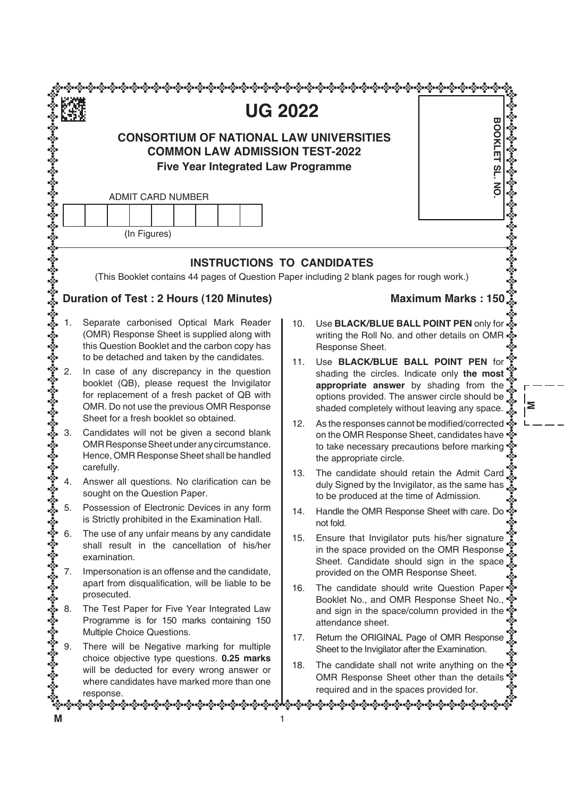|                                                                                                                                      | <b>UG 2022</b>                                                                                                                                                                                                                    |     | <b>BOOK</b>                                                                                                                                                                                                                 |  |  |
|--------------------------------------------------------------------------------------------------------------------------------------|-----------------------------------------------------------------------------------------------------------------------------------------------------------------------------------------------------------------------------------|-----|-----------------------------------------------------------------------------------------------------------------------------------------------------------------------------------------------------------------------------|--|--|
| <b>CONSORTIUM OF NATIONAL LAW UNIVERSITIES</b><br><b>COMMON LAW ADMISSION TEST-2022</b><br><b>Five Year Integrated Law Programme</b> |                                                                                                                                                                                                                                   |     |                                                                                                                                                                                                                             |  |  |
|                                                                                                                                      | <b>ADMIT CARD NUMBER</b><br>(In Figures)                                                                                                                                                                                          |     |                                                                                                                                                                                                                             |  |  |
|                                                                                                                                      | <b>INSTRUCTIONS TO CANDIDATES</b><br>(This Booklet contains 44 pages of Question Paper including 2 blank pages for rough work.)                                                                                                   |     |                                                                                                                                                                                                                             |  |  |
|                                                                                                                                      | Duration of Test: 2 Hours (120 Minutes)                                                                                                                                                                                           |     | Maximum Marks: 150                                                                                                                                                                                                          |  |  |
|                                                                                                                                      | Separate carbonised Optical Mark Reader<br>(OMR) Response Sheet is supplied along with<br>this Question Booklet and the carbon copy has<br>to be detached and taken by the candidates.                                            | 10. | Use BLACK/BLUE BALL POINT PEN only for $\frac{3}{26}$ .<br>writing the Roll No. and other details on OMR •<br>Response Sheet.                                                                                               |  |  |
| 2.                                                                                                                                   | In case of any discrepancy in the question<br>booklet (QB), please request the Invigilator<br>for replacement of a fresh packet of QB with<br>OMR. Do not use the previous OMR Response<br>Sheet for a fresh booklet so obtained. | 11. | Use BLACK/BLUE BALL POINT PEN for<br>shading the circles. Indicate only the most<br>appropriate answer by shading from the<br>options provided. The answer circle should be<br>shaded completely without leaving any space. |  |  |
| 3.                                                                                                                                   | Candidates will not be given a second blank<br>OMR Response Sheet under any circumstance.<br>Hence, OMR Response Sheet shall be handled                                                                                           | 12. | As the responses cannot be modified/corrected •<br>on the OMR Response Sheet, candidates have •<br>to take necessary precautions before marking ***<br>the appropriate circle.                                              |  |  |
|                                                                                                                                      | carefully.<br>Answer all questions. No clarification can be<br>sought on the Question Paper.                                                                                                                                      | 13. | The candidate should retain the Admit Card<br>duly Signed by the Invigilator, as the same has se<br>to be produced at the time of Admission.                                                                                |  |  |
| 5.                                                                                                                                   | Possession of Electronic Devices in any form<br>is Strictly prohibited in the Examination Hall.                                                                                                                                   | 14. | Handle the OMR Response Sheet with care. Do<br>not fold.                                                                                                                                                                    |  |  |
| 6.<br>7.                                                                                                                             | The use of any unfair means by any candidate<br>shall result in the cancellation of his/her<br>examination.<br>Impersonation is an offense and the candidate,                                                                     | 15. | Ensure that Invigilator puts his/her signature<br>in the space provided on the OMR Response<br>Sheet. Candidate should sign in the space<br>provided on the OMR Response Sheet.                                             |  |  |
|                                                                                                                                      | apart from disqualification, will be liable to be<br>prosecuted.                                                                                                                                                                  | 16. | The candidate should write Question Paper **<br>Booklet No., and OMR Response Sheet No.,                                                                                                                                    |  |  |
| 8.                                                                                                                                   | The Test Paper for Five Year Integrated Law<br>Programme is for 150 marks containing 150<br>Multiple Choice Questions.                                                                                                            |     | and sign in the space/column provided in the<br>attendance sheet.                                                                                                                                                           |  |  |
| 9.                                                                                                                                   | There will be Negative marking for multiple<br>choice objective type questions. 0.25 marks                                                                                                                                        | 17. | Return the ORIGINAL Page of OMR Response<br>Sheet to the Invigilator after the Examination.                                                                                                                                 |  |  |
|                                                                                                                                      | will be deducted for every wrong answer or<br>where candidates have marked more than one                                                                                                                                          | 18. | The candidate shall not write anything on the **<br>OMR Response Sheet other than the details **                                                                                                                            |  |  |

 $\frac{1}{2}$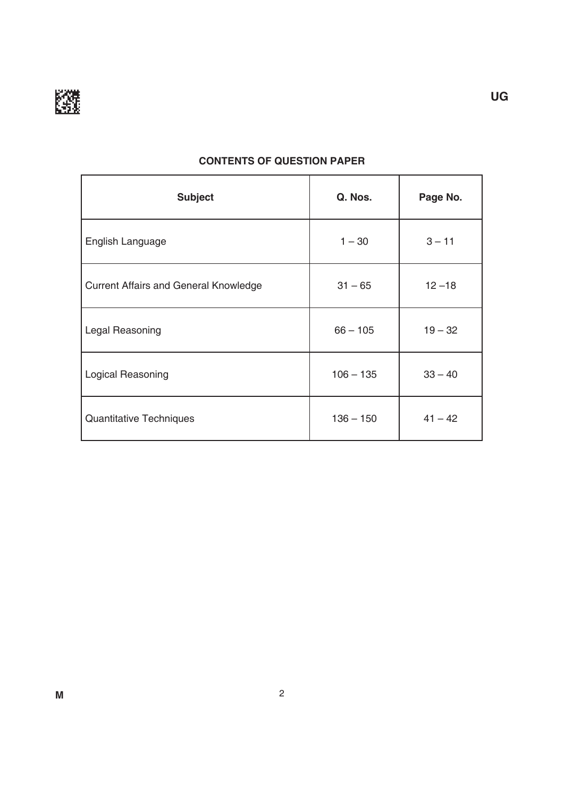

| <b>Subject</b>                               | Q. Nos.     | Page No.  |
|----------------------------------------------|-------------|-----------|
| English Language                             | $1 - 30$    | $3 - 11$  |
| <b>Current Affairs and General Knowledge</b> | $31 - 65$   | $12 - 18$ |
| Legal Reasoning                              | $66 - 105$  | $19 - 32$ |
| Logical Reasoning                            | $106 - 135$ | $33 - 40$ |
| Quantitative Techniques                      | $136 - 150$ | $41 - 42$ |

### **CONTENTS OF QUESTION PAPER**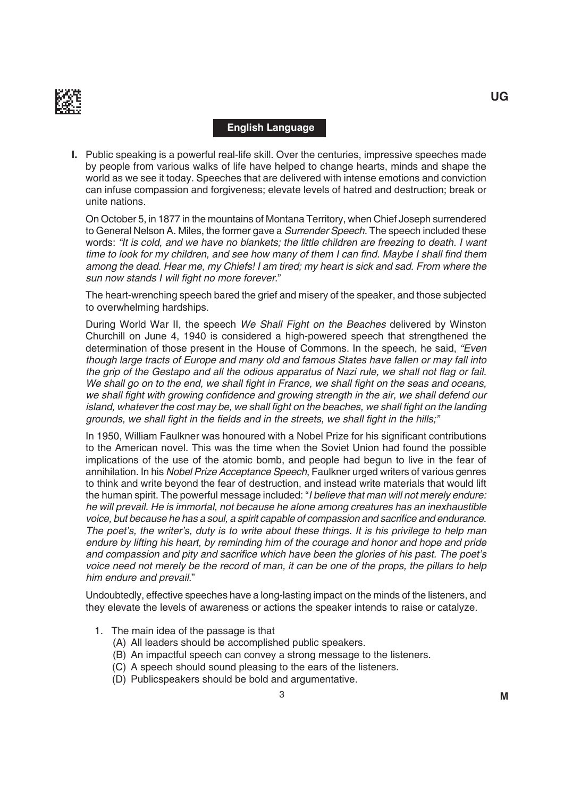

#### **English Language**

**I.** Public speaking is a powerful real-life skill. Over the centuries, impressive speeches made by people from various walks of life have helped to change hearts, minds and shape the world as we see it today. Speeches that are delivered with intense emotions and conviction can infuse compassion and forgiveness; elevate levels of hatred and destruction; break or unite nations.

On October 5, in 1877 in the mountains of Montana Territory, when Chief Joseph surrendered to General Nelson A. Miles, the former gave a *Surrender Speech*. The speech included these words: "It is cold, and we have no blankets; the little children are freezing to death. I want time to look for my children, and see how many of them I can find. Maybe I shall find them among the dead. Hear me, my Chiefs! I am tired; my heart is sick and sad. From where the sun now stands I will fight no more forever."

The heart-wrenching speech bared the grief and misery of the speaker, and those subjected to overwhelming hardships.

During World War II, the speech We Shall Fight on the Beaches delivered by Winston Churchill on June 4, 1940 is considered a high-powered speech that strengthened the determination of those present in the House of Commons. in the speech, he said, "Even though large tracts of Europe and many old and famous States have fallen or may fall into the grip of the Gestapo and all the odious apparatus of Nazi rule, we shall not flag or fail. We shall go on to the end, we shall fight in France, we shall fight on the seas and oceans, we shall fight with growing confidence and growing strength in the air, we shall defend our island, whatever the cost may be, we shall fight on the beaches, we shall fight on the landing grounds, we shall fight in the fields and in the streets, we shall fight in the hills;"

In 1950, William Faulkner was honoured with a Nobel Prize for his significant contributions to the American novel. This was the time when the Soviet Union had found the possible implications of the use of the atomic bomb, and people had begun to live in the fear of annihilation. In his Nobel Prize Acceptance Speech, Faulkner urged writers of various genres to think and write beyond the fear of destruction, and instead write materials that would lift the human spirit. The powerful message included: "I believe that man will not merely endure: he will prevail. He is immortal, not because he alone among creatures has an inexhaustible voice, but because he has a soul, a spirit capable of compassion and sacrifice and endurance. The poet's, the writer's, duty is to write about these things. It is his privilege to help man endure by lifting his heart, by reminding him of the courage and honor and hope and pride and compassion and pity and sacrifice which have been the glories of his past. The poet's voice need not merely be the record of man, it can be one of the props, the pillars to help him endure and prevail."

Undoubtedly, effective speeches have a long-lasting impact on the minds of the listeners, and they elevate the levels of awareness or actions the speaker intends to raise or catalyze.

- 1. The main idea of the passage is that
	- (A) All leaders should be accomplished public speakers.
	- (b) An impactful speech can convey a strong message to the listeners.
	- (C) A speech should sound pleasing to the ears of the listeners.
	- (D) Publicspeakers should be bold and argumentative.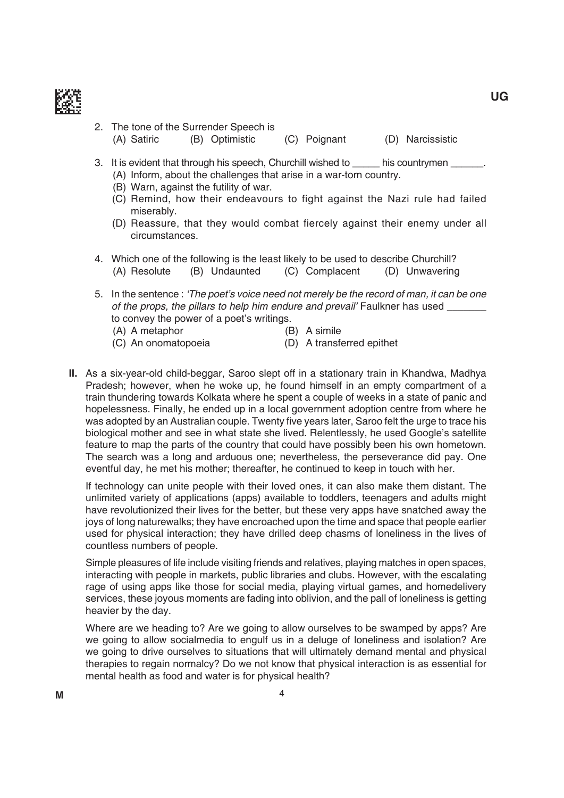

- 2. The tone of the Surrender Speech is (A) Satiric (B) Optimistic (C) Poignant (D) Narcissistic
	-
- 3. It is evident that through his speech, Churchill wished to \_\_\_\_\_\_ his countrymen \_\_\_\_\_\_. (A) inform, about the challenges that arise in a war-torn country.
	- (B) Warn, against the futility of war.
	- (C) Remind, how their endeavours to fight against the Nazi rule had failed miserably.
	- (D) Reassure, that they would combat fiercely against their enemy under all circumstances.
- 4. Which one of the following is the least likely to be used to describe Churchill? (A) Resolute (B) Undaunted (C) Complacent (D) Unwavering
- 5. in the sentence : 'The poet's voice need not merely be the record of man, it can be one of the props, the pillars to help him endure and prevail' Faulkner has used to convey the power of a poet's writings.
	- (A) A metaphor (B) A simile
	- (C) An onomatopoeia (D) A transferred epithet
- **II.** As a six-year-old child-beggar, Saroo slept off in a stationary train in Khandwa, madhya Pradesh; however, when he woke up, he found himself in an empty compartment of a train thundering towards Kolkata where he spent a couple of weeks in a state of panic and hopelessness. Finally, he ended up in a local government adoption centre from where he was adopted by an Australian couple. Twenty five years later, Saroo felt the urge to trace his biological mother and see in what state she lived. Relentlessly, he used Google's satellite feature to map the parts of the country that could have possibly been his own hometown. The search was a long and arduous one; nevertheless, the perseverance did pay. One eventful day, he met his mother; thereafter, he continued to keep in touch with her.

If technology can unite people with their loved ones, it can also make them distant. The unlimited variety of applications (apps) available to toddlers, teenagers and adults might have revolutionized their lives for the better, but these very apps have snatched away the joys of long naturewalks; they have encroached upon the time and space that people earlier used for physical interaction; they have drilled deep chasms of loneliness in the lives of countless numbers of people.

 Simple pleasures of life include visiting friends and relatives, playing matches in open spaces, interacting with people in markets, public libraries and clubs. However, with the escalating rage of using apps like those for social media, playing virtual games, and homedelivery services, these joyous moments are fading into oblivion, and the pall of loneliness is getting heavier by the day.

 Where are we heading to? Are we going to allow ourselves to be swamped by apps? Are we going to allow socialmedia to engulf us in a deluge of loneliness and isolation? Are we going to drive ourselves to situations that will ultimately demand mental and physical therapies to regain normalcy? Do we not know that physical interaction is as essential for mental health as food and water is for physical health?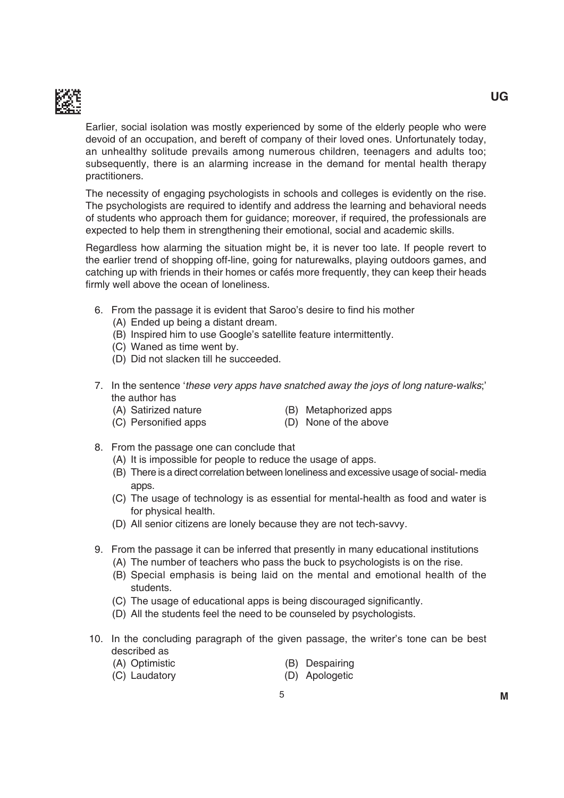

Earlier, social isolation was mostly experienced by some of the elderly people who were devoid of an occupation, and bereft of company of their loved ones. Unfortunately today, an unhealthy solitude prevails among numerous children, teenagers and adults too; subsequently, there is an alarming increase in the demand for mental health therapy practitioners.

The necessity of engaging psychologists in schools and colleges is evidently on the rise. The psychologists are required to identify and address the learning and behavioral needs of students who approach them for guidance; moreover, if required, the professionals are expected to help them in strengthening their emotional, social and academic skills.

Regardless how alarming the situation might be, it is never too late. If people revert to the earlier trend of shopping off-line, going for naturewalks, playing outdoors games, and catching up with friends in their homes or cafés more frequently, they can keep their heads firmly well above the ocean of loneliness.

- 6. From the passage it is evident that Saroo's desire to find his mother
	- (A) Ended up being a distant dream.
	- (B) Inspired him to use Google's satellite feature intermittently.
	- (C) Waned as time went by.
	- (D) Did not slacken till he succeeded.
- 7. in the sentence 'these very apps have snatched away the joys of long nature-walks;' the author has
	-
	- (A) Satirized nature (B) Metaphorized apps
	- (C) Personified apps
- (D) None of the above
- 8. From the passage one can conclude that
	- (A) it is impossible for people to reduce the usage of apps.
	- (B) There is a direct correlation between loneliness and excessive usage of social- media apps.
	- (C) the usage of technology is as essential for mental-health as food and water is for physical health.
	- (D) All senior citizens are lonely because they are not tech-savvy.
- 9. From the passage it can be inferred that presently in many educational institutions
	- (A) The number of teachers who pass the buck to psychologists is on the rise.
	- (b) Special emphasis is being laid on the mental and emotional health of the students.
	- (C) The usage of educational apps is being discouraged significantly.
	- (D) All the students feel the need to be counseled by psychologists.
- 10. in the concluding paragraph of the given passage, the writer's tone can be best described as
	- (A) Optimistic (B) Despairing
	- (C) Laudatory (D) Apologetic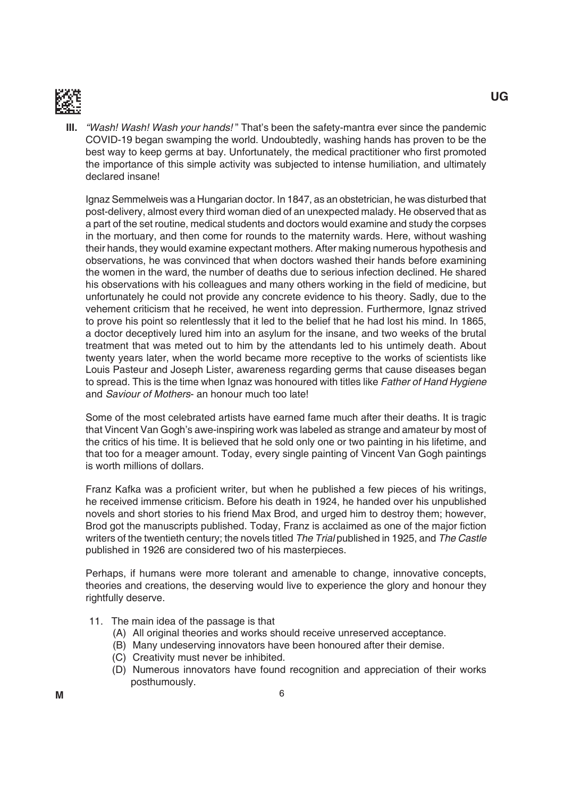

**III.** "Wash! Wash! Wash your hands!" That's been the safety-mantra ever since the pandemic COVID-19 began swamping the world. Undoubtedly, washing hands has proven to be the best way to keep germs at bay. Unfortunately, the medical practitioner who first promoted the importance of this simple activity was subjected to intense humiliation, and ultimately declared insane!

 ignaz Semmelweis was a Hungarian doctor. in 1847, as an obstetrician, he was disturbed that post-delivery, almost every third woman died of an unexpected malady. He observed that as a part of the set routine, medical students and doctors would examine and study the corpses in the mortuary, and then come for rounds to the maternity wards. Here, without washing their hands, they would examine expectant mothers. After making numerous hypothesis and observations, he was convinced that when doctors washed their hands before examining the women in the ward, the number of deaths due to serious infection declined. He shared his observations with his colleagues and many others working in the field of medicine, but unfortunately he could not provide any concrete evidence to his theory. Sadly, due to the vehement criticism that he received, he went into depression. Furthermore, ignaz strived to prove his point so relentlessly that it led to the belief that he had lost his mind. in 1865, a doctor deceptively lured him into an asylum for the insane, and two weeks of the brutal treatment that was meted out to him by the attendants led to his untimely death. About twenty years later, when the world became more receptive to the works of scientists like Louis Pasteur and Joseph Lister, awareness regarding germs that cause diseases began to spread. This is the time when Ignaz was honoured with titles like Father of Hand Hygiene and Saviour of Mothers- an honour much too late!

 Some of the most celebrated artists have earned fame much after their deaths. it is tragic that Vincent Van Gogh's awe-inspiring work was labeled as strange and amateur by most of the critics of his time. it is believed that he sold only one or two painting in his lifetime, and that too for a meager amount. Today, every single painting of Vincent Van Gogh paintings is worth millions of dollars.

Franz Kafka was a proficient writer, but when he published a few pieces of his writings, he received immense criticism. Before his death in 1924, he handed over his unpublished novels and short stories to his friend max brod, and urged him to destroy them; however, Brod got the manuscripts published. Today, Franz is acclaimed as one of the major fiction writers of the twentieth century; the novels titled The Trial published in 1925, and The Castle published in 1926 are considered two of his masterpieces.

 Perhaps, if humans were more tolerant and amenable to change, innovative concepts, theories and creations, the deserving would live to experience the glory and honour they rightfully deserve.

- 11. The main idea of the passage is that
	- (A) All original theories and works should receive unreserved acceptance.
	- (b) many undeserving innovators have been honoured after their demise.
	- (C) Creativity must never be inhibited.
	- (d) Numerous innovators have found recognition and appreciation of their works posthumously.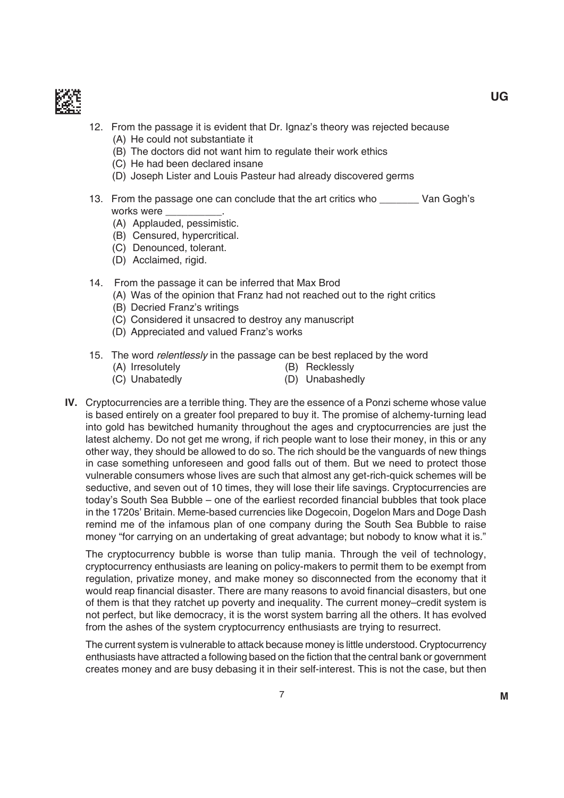

- 12. From the passage it is evident that Dr. Ignaz's theory was rejected because (A) He could not substantiate it
	- (B) The doctors did not want him to regulate their work ethics
	- (C) He had been declared insane
	- (D) Joseph Lister and Louis Pasteur had already discovered germs
- 13. From the passage one can conclude that the art critics who \_\_\_\_\_\_\_\_ Van Gogh's works were
	- (A) Applauded, pessimistic.
	- (b) Censured, hypercritical.
	- (C) Denounced, tolerant.
	- (D) Acclaimed, rigid.
- 14. From the passage it can be inferred that Max Brod
	- (A) Was of the opinion that Franz had not reached out to the right critics
	- (B) Decried Franz's writings
	- (C) Considered it unsacred to destroy any manuscript
	- (D) Appreciated and valued Franz's works
- 15. The word relentlessly in the passage can be best replaced by the word
	- (A) Irresolutely (B) Recklessly
	- (C) Unabatedly (D) Unabashedly
- **IV.** Cryptocurrencies are a terrible thing. They are the essence of a Ponzi scheme whose value is based entirely on a greater fool prepared to buy it. The promise of alchemy-turning lead into gold has bewitched humanity throughout the ages and cryptocurrencies are just the latest alchemy. Do not get me wrong, if rich people want to lose their money, in this or any other way, they should be allowed to do so. The rich should be the vanguards of new things in case something unforeseen and good falls out of them. But we need to protect those vulnerable consumers whose lives are such that almost any get-rich-quick schemes will be seductive, and seven out of 10 times, they will lose their life savings. Cryptocurrencies are today's South Sea Bubble – one of the earliest recorded financial bubbles that took place in the 1720s' Britain. Meme-based currencies like Dogecoin, Dogelon Mars and Doge Dash remind me of the infamous plan of one company during the South Sea bubble to raise money "for carrying on an undertaking of great advantage; but nobody to know what it is."

The cryptocurrency bubble is worse than tulip mania. Through the veil of technology, cryptocurrency enthusiasts are leaning on policy-makers to permit them to be exempt from regulation, privatize money, and make money so disconnected from the economy that it would reap financial disaster. There are many reasons to avoid financial disasters, but one of them is that they ratchet up poverty and inequality. The current money–credit system is not perfect, but like democracy, it is the worst system barring all the others. it has evolved from the ashes of the system cryptocurrency enthusiasts are trying to resurrect.

The current system is vulnerable to attack because money is little understood. Cryptocurrency enthusiasts have attracted a following based on the fiction that the central bank or government creates money and are busy debasing it in their self-interest. This is not the case, but then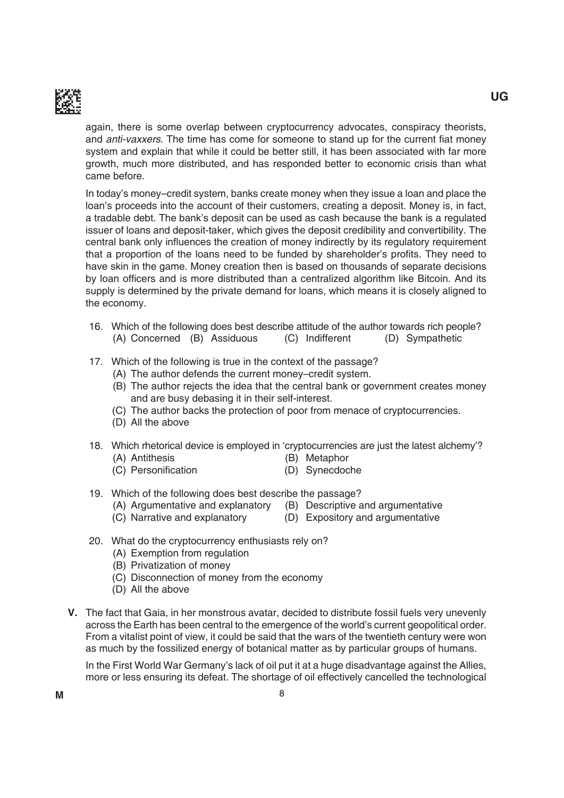

again, there is some overlap between cryptocurrency advocates, conspiracy theorists, and anti-vaxxers. The time has come for someone to stand up for the current fiat money system and explain that while it could be better still, it has been associated with far more growth, much more distributed, and has responded better to economic crisis than what came before.

 in today's money–credit system, banks create money when they issue a loan and place the loan's proceeds into the account of their customers, creating a deposit. Money is, in fact, a tradable debt. The bank's deposit can be used as cash because the bank is a regulated issuer of loans and deposit-taker, which gives the deposit credibility and convertibility. the central bank only influences the creation of money indirectly by its regulatory requirement that a proportion of the loans need to be funded by shareholder's profits. They need to have skin in the game. Money creation then is based on thousands of separate decisions by loan officers and is more distributed than a centralized algorithm like Bitcoin. And its supply is determined by the private demand for loans, which means it is closely aligned to the economy.

- 16. Which of the following does best describe attitude of the author towards rich people? (A) Concerned (B) Assiduous (C) Indifferent (D) Sympathetic
- 17. Which of the following is true in the context of the passage?
	- (A) The author defends the current money–credit system.
	- (B) The author rejects the idea that the central bank or government creates money and are busy debasing it in their self-interest.
	- (C) the author backs the protection of poor from menace of cryptocurrencies.
	- (D) All the above
- 18. Which rhetorical device is employed in 'cryptocurrencies are just the latest alchemy'?
	- (A) Antithesis (B) Metaphor
		-
	- (C) Personification (D) Synecdoche
- 19. Which of the following does best describe the passage?
	- $(A)$  Argumentative and explanatory  $(B)$  Descriptive and argumentative
	- (C) Narrative and explanatory (D) Expository and argumentative
- 20. What do the cryptocurrency enthusiasts rely on?
	- (A) Exemption from regulation
	- (B) Privatization of money
	- (C) Disconnection of money from the economy
	- (D) All the above
- **V.** The fact that Gaia, in her monstrous avatar, decided to distribute fossil fuels very unevenly across the Earth has been central to the emergence of the world's current geopolitical order. From a vitalist point of view, it could be said that the wars of the twentieth century were won as much by the fossilized energy of botanical matter as by particular groups of humans.

In the First World War Germany's lack of oil put it at a huge disadvantage against the Allies, more or less ensuring its defeat. The shortage of oil effectively cancelled the technological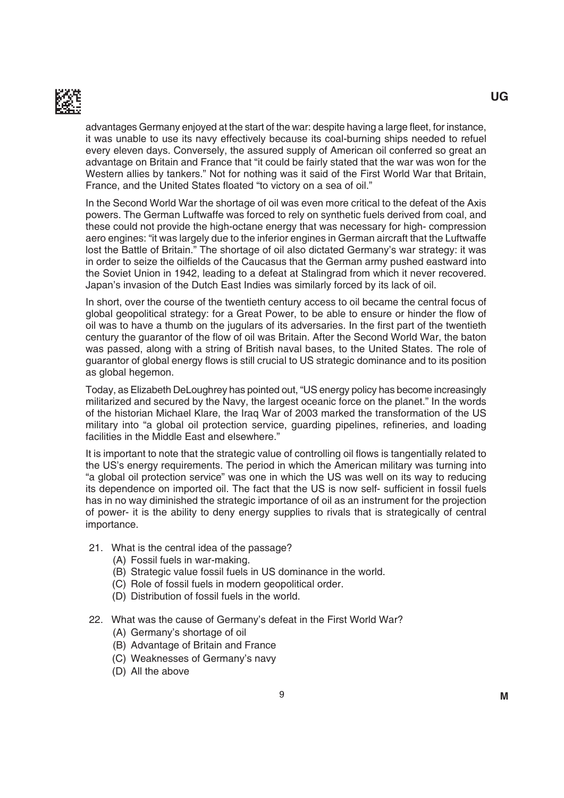

advantages Germany enjoyed at the start of the war: despite having a large fleet, for instance, it was unable to use its navy effectively because its coal-burning ships needed to refuel every eleven days. Conversely, the assured supply of American oil conferred so great an advantage on britain and France that "it could be fairly stated that the war was won for the Western allies by tankers." Not for nothing was it said of the First World War that Britain, France, and the United States floated "to victory on a sea of oil."

 in the Second World War the shortage of oil was even more critical to the defeat of the Axis powers. The German Luftwaffe was forced to rely on synthetic fuels derived from coal, and these could not provide the high-octane energy that was necessary for high- compression aero engines: "it was largely due to the inferior engines in German aircraft that the Luftwaffe lost the Battle of Britain." The shortage of oil also dictated Germany's war strategy: it was in order to seize the oilfields of the Caucasus that the German army pushed eastward into the Soviet Union in 1942, leading to a defeat at Stalingrad from which it never recovered. Japan's invasion of the Dutch East Indies was similarly forced by its lack of oil.

 in short, over the course of the twentieth century access to oil became the central focus of global geopolitical strategy: for a Great Power, to be able to ensure or hinder the flow of oil was to have a thumb on the jugulars of its adversaries. In the first part of the twentieth century the guarantor of the flow of oil was Britain. After the Second World War, the baton was passed, along with a string of British naval bases, to the United States. The role of guarantor of global energy flows is still crucial to US strategic dominance and to its position as global hegemon.

Today, as Elizabeth DeLoughrey has pointed out, "US energy policy has become increasingly militarized and secured by the Navy, the largest oceanic force on the planet." in the words of the historian michael Klare, the iraq War of 2003 marked the transformation of the uS military into "a global oil protection service, guarding pipelines, refineries, and loading facilities in the Middle East and elsewhere."

It is important to note that the strategic value of controlling oil flows is tangentially related to the US's energy requirements. The period in which the American military was turning into "a global oil protection service" was one in which the uS was well on its way to reducing its dependence on imported oil. The fact that the US is now self- sufficient in fossil fuels has in no way diminished the strategic importance of oil as an instrument for the projection of power- it is the ability to deny energy supplies to rivals that is strategically of central importance.

- 21. What is the central idea of the passage?
	- (A) Fossil fuels in war-making.
	- (B) Strategic value fossil fuels in US dominance in the world.
	- (C) Role of fossil fuels in modern geopolitical order.
	- (D) Distribution of fossil fuels in the world.
- 22. What was the cause of germany's defeat in the First World War?
	- (A) Germany's shortage of oil
	- (b) Advantage of britain and France
	- (C) Weaknesses of Germany's navy
	- (D) All the above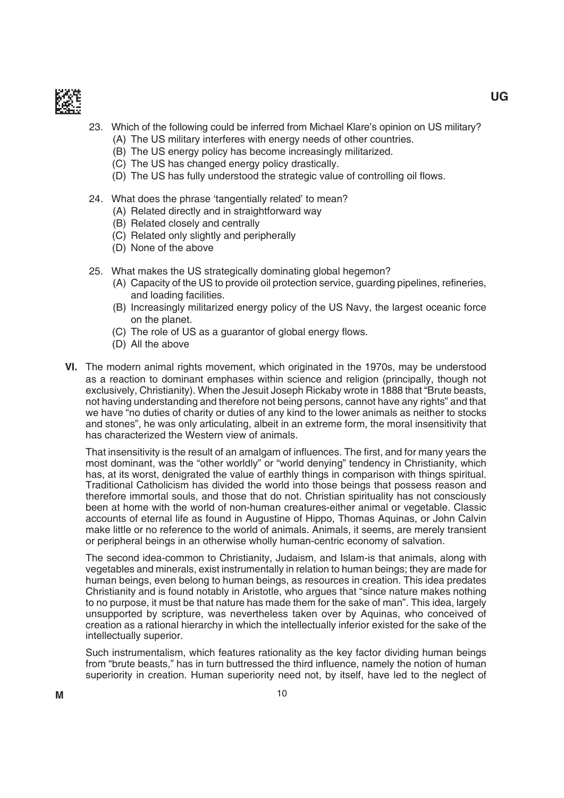

# 23. Which of the following could be inferred from michael Klare's opinion on uS military?

- (A) The US military interferes with energy needs of other countries.
- (B) The US energy policy has become increasingly militarized.
- (C) The US has changed energy policy drastically.
- (D) The US has fully understood the strategic value of controlling oil flows.
- 24. What does the phrase 'tangentially related' to mean?
	- (A) Related directly and in straightforward way
	- (B) Related closely and centrally
	- (C) Related only slightly and peripherally
	- (D) None of the above
- 25. What makes the US strategically dominating global hegemon?
	- (A) Capacity of the US to provide oil protection service, guarding pipelines, refineries, and loading facilities.
	- (b) increasingly militarized energy policy of the uS Navy, the largest oceanic force on the planet.
	- (C) The role of US as a guarantor of global energy flows.
	- (D) All the above
- **VI.** The modern animal rights movement, which originated in the 1970s, may be understood as a reaction to dominant emphases within science and religion (principally, though not exclusively, Christianity). When the Jesuit Joseph Rickaby wrote in 1888 that "Brute beasts, not having understanding and therefore not being persons, cannot have any rights" and that we have "no duties of charity or duties of any kind to the lower animals as neither to stocks and stones", he was only articulating, albeit in an extreme form, the moral insensitivity that has characterized the Western view of animals.

That insensitivity is the result of an amalgam of influences. The first, and for many years the most dominant, was the "other worldly" or "world denying" tendency in Christianity, which has, at its worst, denigrated the value of earthly things in comparison with things spiritual. Traditional Catholicism has divided the world into those beings that possess reason and therefore immortal souls, and those that do not. Christian spirituality has not consciously been at home with the world of non-human creatures-either animal or vegetable. Classic accounts of eternal life as found in Augustine of Hippo, thomas Aquinas, or John Calvin make little or no reference to the world of animals. Animals, it seems, are merely transient or peripheral beings in an otherwise wholly human-centric economy of salvation.

 the second idea-common to Christianity, Judaism, and islam-is that animals, along with vegetables and minerals, exist instrumentally in relation to human beings; they are made for human beings, even belong to human beings, as resources in creation. This idea predates Christianity and is found notably in Aristotle, who argues that "since nature makes nothing to no purpose, it must be that nature has made them for the sake of man". This idea, largely unsupported by scripture, was nevertheless taken over by Aquinas, who conceived of creation as a rational hierarchy in which the intellectually inferior existed for the sake of the intellectually superior.

 Such instrumentalism, which features rationality as the key factor dividing human beings from "brute beasts," has in turn buttressed the third influence, namely the notion of human superiority in creation. Human superiority need not, by itself, have led to the neglect of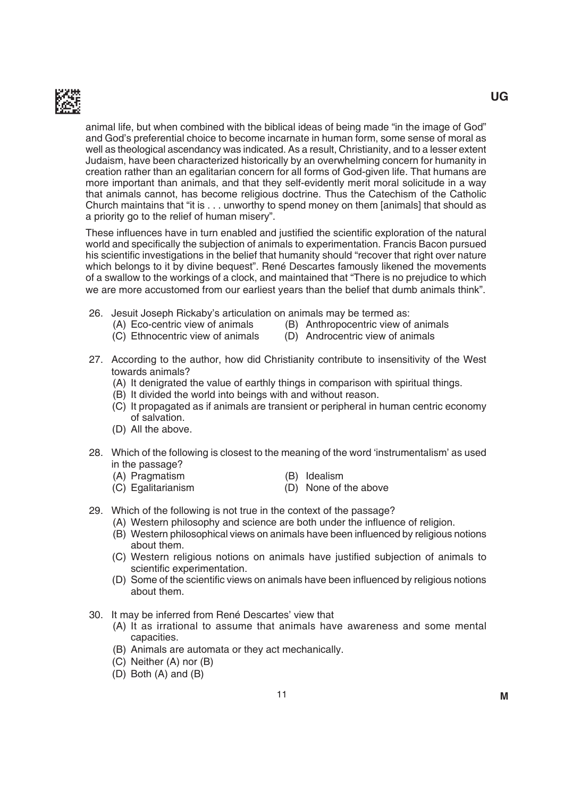

animal life, but when combined with the biblical ideas of being made "in the image of god" and god's preferential choice to become incarnate in human form, some sense of moral as well as theological ascendancy was indicated. As a result, Christianity, and to a lesser extent Judaism, have been characterized historically by an overwhelming concern for humanity in creation rather than an egalitarian concern for all forms of God-given life. That humans are more important than animals, and that they self-evidently merit moral solicitude in a way that animals cannot, has become religious doctrine. thus the Catechism of the Catholic Church maintains that "it is . . . unworthy to spend money on them [animals] that should as a priority go to the relief of human misery".

These influences have in turn enabled and justified the scientific exploration of the natural world and specifically the subjection of animals to experimentation. Francis Bacon pursued his scientific investigations in the belief that humanity should "recover that right over nature which belongs to it by divine bequest". René Descartes famously likened the movements of a swallow to the workings of a clock, and maintained that "There is no prejudice to which we are more accustomed from our earliest years than the belief that dumb animals think".

- 26. Jesuit Joseph Rickaby's articulation on animals may be termed as:
	- (A) Eco-centric view of animals (B) Anthropocentric view of animals
		-
	- (C) Ethnocentric view of animals (D) Androcentric view of animals
- 27. According to the author, how did Christianity contribute to insensitivity of the West towards animals?
	- (A) it denigrated the value of earthly things in comparison with spiritual things.
	- (B) It divided the world into beings with and without reason.
	- (C) it propagated as if animals are transient or peripheral in human centric economy of salvation.
	- (D) All the above.
- 28. Which of the following is closest to the meaning of the word 'instrumentalism' as used in the passage?
	- (A) Pragmatism (B) Idealism
	- (C) Egalitarianism (D) None of the above
- 29. Which of the following is not true in the context of the passage?
	- (A) Western philosophy and science are both under the influence of religion.
	- (B) Western philosophical views on animals have been influenced by religious notions about them.
	- (C) Western religious notions on animals have justified subjection of animals to scientific experimentation.
	- (D) Some of the scientific views on animals have been influenced by religious notions about them.
- 30. It may be inferred from René Descartes' view that
	- (A) it as irrational to assume that animals have awareness and some mental capacities.
	- (b) Animals are automata or they act mechanically.
	- $(C)$  Neither  $(A)$  nor  $(B)$
	- $(D)$  Both  $(A)$  and  $(B)$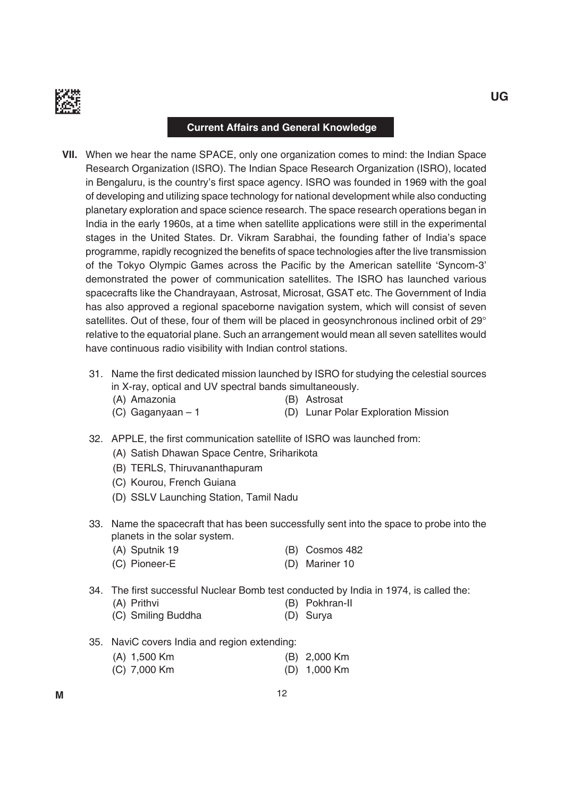

#### **Current Affairs and General Knowledge**

- **VII.** When we hear the name SPACE, only one organization comes to mind: the Indian Space Research Organization (ISRO). The Indian Space Research Organization (ISRO), located in Bengaluru, is the country's first space agency. ISRO was founded in 1969 with the goal of developing and utilizing space technology for national development while also conducting planetary exploration and space science research. the space research operations began in india in the early 1960s, at a time when satellite applications were still in the experimental stages in the United States. Dr. Vikram Sarabhai, the founding father of India's space programme, rapidly recognized the benefits of space technologies after the live transmission of the Tokyo Olympic Games across the Pacific by the American satellite 'Syncom-3' demonstrated the power of communication satellites. The ISRO has launched various spacecrafts like the Chandrayaan, Astrosat, Microsat, GSAT etc. The Government of India has also approved a regional spaceborne navigation system, which will consist of seven satellites. Out of these, four of them will be placed in geosynchronous inclined orbit of 29° relative to the equatorial plane. Such an arrangement would mean all seven satellites would have continuous radio visibility with indian control stations.
	- 31. Name the first dedicated mission launched by ISRO for studying the celestial sources in X-ray, optical and UV spectral bands simultaneously.
		- (A) Amazonia (b) Astrosat
			-
		- (C) Gaganyaan 1 (D) Lunar Polar Exploration Mission
- - 32. APPLE, the first communication satellite of ISRO was launched from:
		- (A) Satish Dhawan Space Centre, Sriharikota
		- (B) TERLS, Thiruvananthapuram
		- (C) Kourou, French guiana
		- (D) SSLV Launching Station, Tamil Nadu
	- 33. Name the spacecraft that has been successfully sent into the space to probe into the planets in the solar system.
		- (A) Sputnik 19 (B) Cosmos 482
		- (C) Pioneer-E (D) Mariner 10
	- 34. The first successful Nuclear Bomb test conducted by India in 1974, is called the:
		- (A) Prithvi (b) Pokhran-ii
		- (C) Smiling Buddha (D) Surya
	- 35. NaviC covers india and region extending:
		- (A) 1,500 Km (b) 2,000 Km
		- (C) 7,000 Km (D) 1,000 Km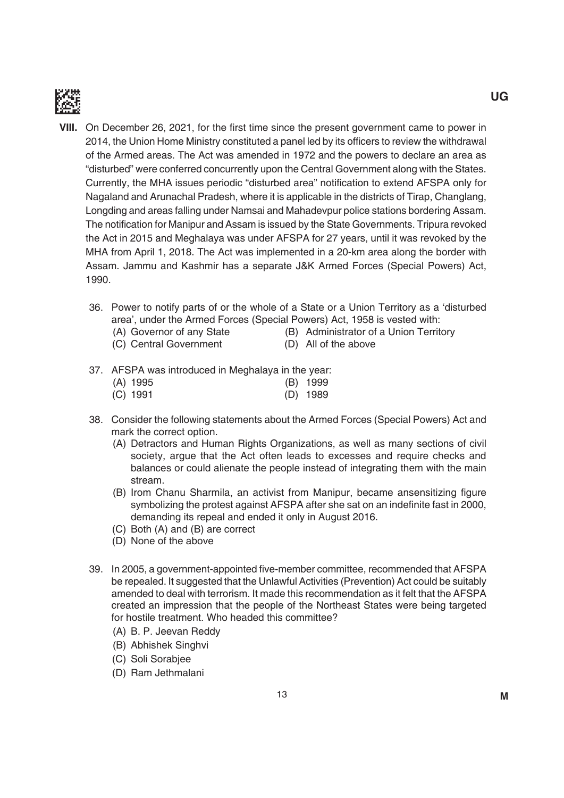

- **VIII.** On December 26, 2021, for the first time since the present government came to power in 2014, the Union Home Ministry constituted a panel led by its officers to review the withdrawal of the Armed areas. The Act was amended in 1972 and the powers to declare an area as "disturbed" were conferred concurrently upon the Central government along with the States. Currently, the MHA issues periodic "disturbed area" notification to extend AFSPA only for Nagaland and Arunachal Pradesh, where it is applicable in the districts of Tirap, Changlang, Longding and areas falling under Namsai and Mahadevpur police stations bordering Assam. The notification for Manipur and Assam is issued by the State Governments. Tripura revoked the Act in 2015 and meghalaya was under AFSPA for 27 years, until it was revoked by the MHA from April 1, 2018. The Act was implemented in a 20-km area along the border with Assam. Jammu and Kashmir has a separate J&K Armed Forces (Special Powers) Act, 1990.
	- 36. Power to notify parts of or the whole of a State or a Union Territory as a 'disturbed area', under the Armed Forces (Special Powers) Act, 1958 is vested with:
		- (A) Governor of any State (B) Administrator of a Union Territory
		- (C) Central Government (D) All of the above
		-
	- 37. AFSPA was introduced in Meghalaya in the year:

| (A) 1995   | (B) 1999   |
|------------|------------|
| $(C)$ 1991 | $(D)$ 1989 |

- 38. Consider the following statements about the Armed Forces (Special Powers) Act and mark the correct option.
	- (A) Detractors and Human Rights Organizations, as well as many sections of civil society, argue that the Act often leads to excesses and require checks and balances or could alienate the people instead of integrating them with the main stream.
	- (B) Irom Chanu Sharmila, an activist from Manipur, became ansensitizing figure symbolizing the protest against AFSPA after she sat on an indefinite fast in 2000, demanding its repeal and ended it only in August 2016.
	- $(C)$  Both  $(A)$  and  $(B)$  are correct
	- (D) None of the above
- 39. In 2005, a government-appointed five-member committee, recommended that AFSPA be repealed. It suggested that the Unlawful Activities (Prevention) Act could be suitably amended to deal with terrorism. it made this recommendation as it felt that the AFSPA created an impression that the people of the Northeast States were being targeted for hostile treatment. Who headed this committee?
	- (A) B. P. Jeevan Reddy
	- (b) Abhishek Singhvi
	- (C) Soli Sorabjee
	- (D) Ram Jethmalani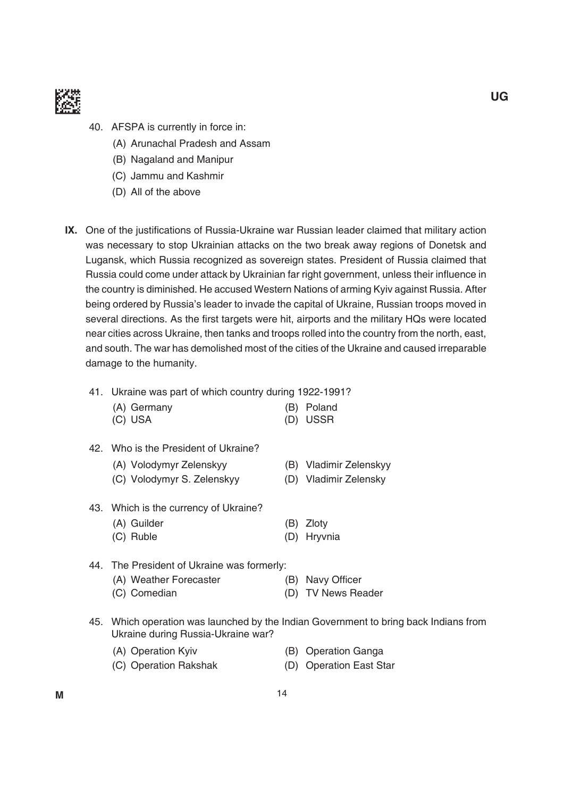

- 40. AFSPA is currently in force in:
	- (A) Arunachal Pradesh and Assam
	- (B) Nagaland and Manipur
	- (C) Jammu and Kashmir
	- (D) All of the above
- IX. One of the justifications of Russia-Ukraine war Russian leader claimed that military action was necessary to stop Ukrainian attacks on the two break away regions of Donetsk and Lugansk, which Russia recognized as sovereign states. President of Russia claimed that Russia could come under attack by Ukrainian far right government, unless their influence in the country is diminished. He accused Western Nations of arming Kyiv against Russia. After being ordered by Russia's leader to invade the capital of Ukraine, Russian troops moved in several directions. As the first targets were hit, airports and the military HQs were located near cities across Ukraine, then tanks and troops rolled into the country from the north, east, and south. The war has demolished most of the cities of the Ukraine and caused irreparable damage to the humanity.
	- 41. Ukraine was part of which country during 1922-1991?
		- (A) Germany (B) Poland (C) USA (D) USSR
	- 42. Who is the President of Ukraine?
		- (A) Volodymyr Zelenskyy (B) Vladimir Zelenskyy
		- (C) Volodymyr S. Zelenskyy (D) Vladimir Zelensky
	- 43. Which is the currency of Ukraine?
		- (A) Guilder (B) Zloty
		- (C) Ruble (D) Hryvnia
	- 44. The President of Ukraine was formerly:
		- (A) Weather Forecaster (B) (B) Navy Officer
		- (C) Comedian (D) TV News Reader
	- 45. Which operation was launched by the indian government to bring back indians from Ukraine during Russia-Ukraine war?
		- (A) Operation Kyiv (B) Operation Ganga
		- (C) Operation Rakshak (D) Operation East Star
- -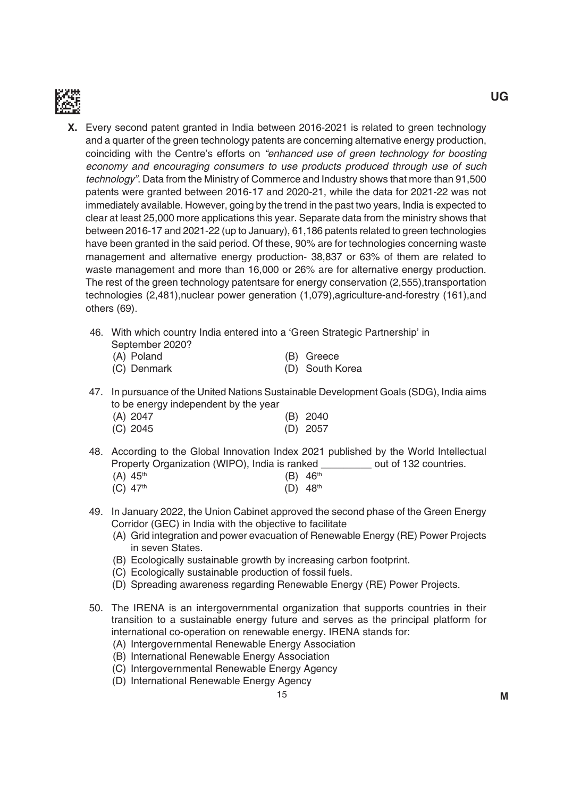

- **X.** Every second patent granted in India between 2016-2021 is related to green technology and a quarter of the green technology patents are concerning alternative energy production, coinciding with the Centre's efforts on "enhanced use of green technology for boosting economy and encouraging consumers to use products produced through use of such technology". Data from the Ministry of Commerce and Industry shows that more than 91,500 patents were granted between 2016-17 and 2020-21, while the data for 2021-22 was not immediately available. However, going by the trend in the past two years, india is expected to clear at least 25,000 more applications this year. Separate data from the ministry shows that between 2016-17 and 2021-22 (up to January), 61,186 patents related to green technologies have been granted in the said period. Of these, 90% are for technologies concerning waste management and alternative energy production- 38,837 or 63% of them are related to waste management and more than 16,000 or 26% are for alternative energy production. The rest of the green technology patentsare for energy conservation (2,555), transportation technologies (2,481),nuclear power generation (1,079),agriculture-and-forestry (161),and others (69).
	- 46. With which country India entered into a 'Green Strategic Partnership' in September 2020?

| (A) Poland  | (B) Greece      |
|-------------|-----------------|
| (C) Denmark | (D) South Korea |

47. In pursuance of the United Nations Sustainable Development Goals (SDG), India aims to be energy independent by the year

| (A) 2047   | $(B)$ 2040 |
|------------|------------|
| $(C)$ 2045 | $(D)$ 2057 |

- 48. According to the global innovation index 2021 published by the World intellectual Property Organization (WiPO), india is ranked \_\_\_\_\_\_\_\_\_ out of 132 countries. (A)  $45^{th}$  (B)  $46^{th}$ 
	- (C)  $47^{\text{th}}$  (D)  $48^{\text{th}}$
- 49. In January 2022, the Union Cabinet approved the second phase of the Green Energy Corridor (GEC) in India with the objective to facilitate
	- (A) Grid integration and power evacuation of Renewable Energy (RE) Power Projects in seven States.
	- (B) Ecologically sustainable growth by increasing carbon footprint.
	- (C) Ecologically sustainable production of fossil fuels.
	- (D) Spreading awareness regarding Renewable Energy (RE) Power Projects.
- 50. The IRENA is an intergovernmental organization that supports countries in their transition to a sustainable energy future and serves as the principal platform for international co-operation on renewable energy. IRENA stands for:
	- (A) Intergovernmental Renewable Energy Association
	- (B) International Renewable Energy Association
	- (C) Intergovernmental Renewable Energy Agency
	- (D) International Renewable Energy Agency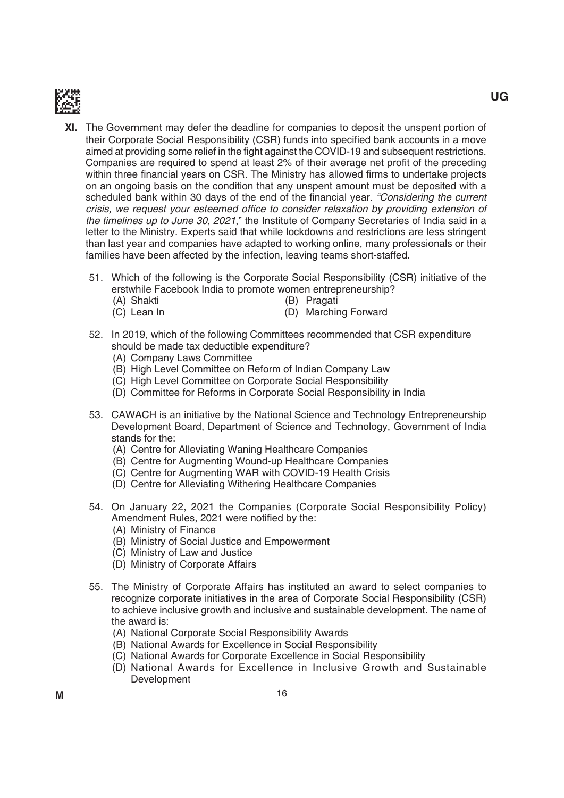

- **XI.** The Government may defer the deadline for companies to deposit the unspent portion of their Corporate Social Responsibility (CSR) funds into specified bank accounts in a move aimed at providing some relief in the fight against the COVID-19 and subsequent restrictions. Companies are required to spend at least 2% of their average net profit of the preceding within three financial years on CSR. The Ministry has allowed firms to undertake projects on an ongoing basis on the condition that any unspent amount must be deposited with a scheduled bank within 30 days of the end of the financial year. "Considering the current crisis, we request your esteemed office to consider relaxation by providing extension of the timelines up to June 30, 2021," the Institute of Company Secretaries of India said in a letter to the Ministry. Experts said that while lockdowns and restrictions are less stringent than last year and companies have adapted to working online, many professionals or their families have been affected by the infection, leaving teams short-staffed.
	- 51. Which of the following is the Corporate Social Responsibility (CSR) initiative of the erstwhile Facebook india to promote women entrepreneurship?
		-
- (A) Shakti (b) Pragati
	- (C) Lean In (D) Marching Forward
- - 52. In 2019, which of the following Committees recommended that CSR expenditure should be made tax deductible expenditure?
		- (A) Company Laws Committee
		- (B) High Level Committee on Reform of Indian Company Law
		- (C) High Level Committee on Corporate Social Responsibility
		- (D) Committee for Reforms in Corporate Social Responsibility in India
	- 53. CAWACH is an initiative by the National Science and Technology Entrepreneurship Development Board, Department of Science and Technology, Government of India stands for the:
		- (A) Centre for Alleviating Waning Healthcare Companies
		- (b) Centre for Augmenting Wound-up Healthcare Companies
		- (C) Centre for Augmenting WAR with COVID-19 Health Crisis
		- (D) Centre for Alleviating Withering Healthcare Companies
	- 54. On January 22, 2021 the Companies (Corporate Social Responsibility Policy) Amendment Rules, 2021 were notified by the:
		- (A) Ministry of Finance
		- (B) Ministry of Social Justice and Empowerment
		- (C) ministry of Law and Justice
		- (D) Ministry of Corporate Affairs
	- 55. the ministry of Corporate Affairs has instituted an award to select companies to recognize corporate initiatives in the area of Corporate Social Responsibility (CSR) to achieve inclusive growth and inclusive and sustainable development. The name of the award is:
		- (A) National Corporate Social Responsibility Awards
		- (B) National Awards for Excellence in Social Responsibility
		- (C) National Awards for Corporate Excellence in Social Responsibility
		- (D) National Awards for Excellence in Inclusive Growth and Sustainable Development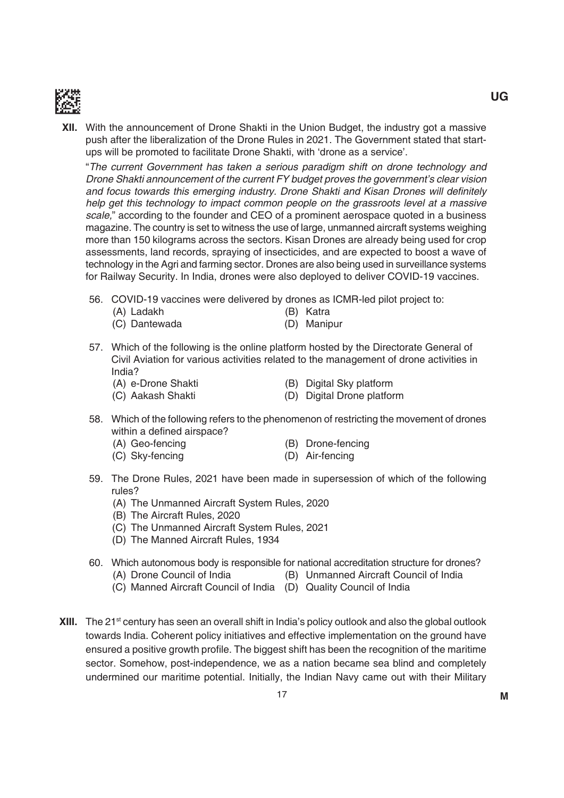

**XII.** With the announcement of Drone Shakti in the Union Budget, the industry got a massive push after the liberalization of the Drone Rules in 2021. The Government stated that startups will be promoted to facilitate Drone Shakti, with 'drone as a service'.

 "The current Government has taken a serious paradigm shift on drone technology and Drone Shakti announcement of the current FY budget proves the government's clear vision and focus towards this emerging industry. Drone Shakti and Kisan Drones will definitely help get this technology to impact common people on the grassroots level at a massive scale," according to the founder and CEO of a prominent aerospace quoted in a business magazine. The country is set to witness the use of large, unmanned aircraft systems weighing more than 150 kilograms across the sectors. Kisan Drones are already being used for crop assessments, land records, spraying of insecticides, and are expected to boost a wave of technology in the Agri and farming sector. Drones are also being used in surveillance systems for Railway Security. In India, drones were also deployed to deliver COVID-19 vaccines.

- 56. COVID-19 vaccines were delivered by drones as ICMR-led pilot project to:
	- (A) Ladakh (b) Katra
	- (C) Dantewada (D) Manipur
- 57. Which of the following is the online platform hosted by the Directorate General of Civil Aviation for various activities related to the management of drone activities in India?
	- (A) e-Drone Shakti (B) Digital Sky platform

(C) Aakash Shakti (D) Digital Drone platform

- 58. Which of the following refers to the phenomenon of restricting the movement of drones within a defined airspace?
	- (A) Geo-fencing (B) Drone-fencing
		-
	- (C) Sky-fencing (D) Air-fencing
- 59. The Drone Rules, 2021 have been made in supersession of which of the following rules?
	- (A) The Unmanned Aircraft System Rules, 2020
	- (B) The Aircraft Rules, 2020
	- (C) The Unmanned Aircraft System Rules, 2021
	- (D) The Manned Aircraft Rules, 1934
- 60. Which autonomous body is responsible for national accreditation structure for drones?
	- (A) Drone Council of India (B) Unmanned Aircraft Council of India
	- (C) Manned Aircraft Council of India (D) Quality Council of India
- **XIII.** The 21<sup>st</sup> century has seen an overall shift in India's policy outlook and also the global outlook towards india. Coherent policy initiatives and effective implementation on the ground have ensured a positive growth profile. The biggest shift has been the recognition of the maritime sector. Somehow, post-independence, we as a nation became sea blind and completely undermined our maritime potential. initially, the indian Navy came out with their military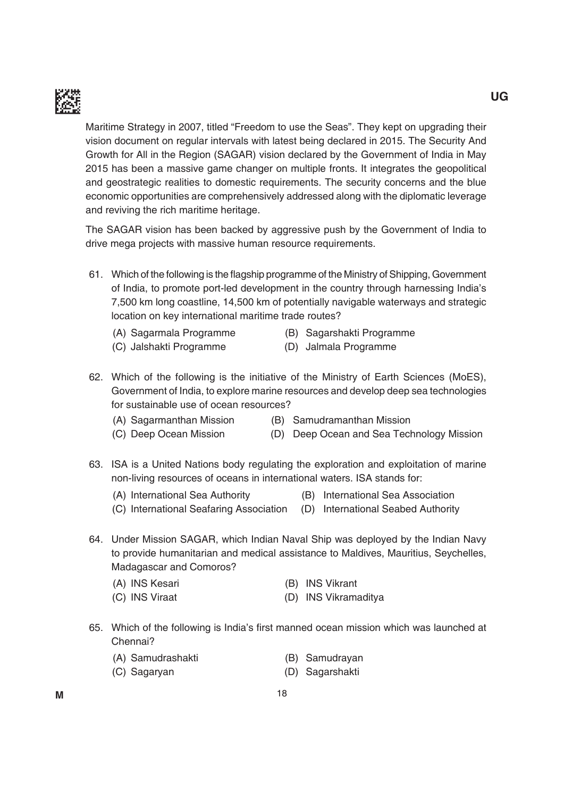

Maritime Strategy in 2007, titled "Freedom to use the Seas". They kept on upgrading their vision document on regular intervals with latest being declared in 2015. The Security And Growth for All in the Region (SAGAR) vision declared by the Government of India in May 2015 has been a massive game changer on multiple fronts. it integrates the geopolitical and geostrategic realities to domestic requirements. The security concerns and the blue economic opportunities are comprehensively addressed along with the diplomatic leverage and reviving the rich maritime heritage.

The SAGAR vision has been backed by aggressive push by the Government of India to drive mega projects with massive human resource requirements.

- 61. Which of the following is the flagship programme of the Ministry of Shipping, Government of india, to promote port-led development in the country through harnessing india's 7,500 km long coastline, 14,500 km of potentially navigable waterways and strategic location on key international maritime trade routes?
	- (A) Sagarmala Programme (B) Sagarshakti Programme
		-
	- (C) Jalshakti Programme (D) Jalmala Programme
- 
- 62. Which of the following is the initiative of the Ministry of Earth Sciences (MoES), government of india, to explore marine resources and develop deep sea technologies for sustainable use of ocean resources?
	-
	- (A) Sagarmanthan Mission (B) Samudramanthan Mission
	- (C) Deep Ocean Mission (D) Deep Ocean and Sea Technology Mission
- 63. iSA is a united Nations body regulating the exploration and exploitation of marine non-living resources of oceans in international waters. iSA stands for:
	- (A) International Sea Authority (B) International Sea Association
		-
	- (C) International Seafaring Association (D) International Seabed Authority
- 64. Under Mission SAGAR, which Indian Naval Ship was deployed by the Indian Navy to provide humanitarian and medical assistance to maldives, mauritius, Seychelles, Madagascar and Comoros?
	- (A) INS Kesari (B) INS Vikrant
	- (C) INS Viraat (D) INS Vikramaditya
- 65. Which of the following is India's first manned ocean mission which was launched at Chennai?
	- (A) Samudrashakti (B) Samudrayan
	- (C) Sagaryan (D) Sagarshakti
- 
-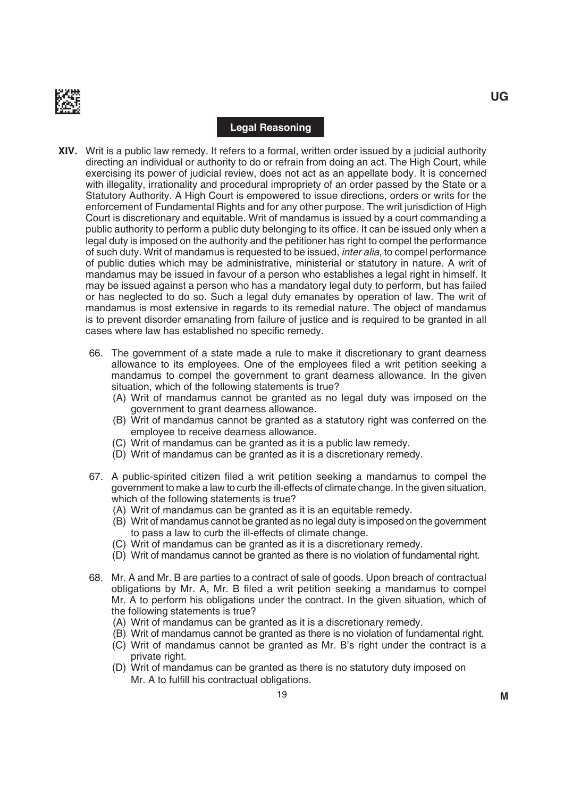

#### **Legal Reasoning**

- **XIV.** Writ is a public law remedy. it refers to a formal, written order issued by a judicial authority directing an individual or authority to do or refrain from doing an act. the High Court, while exercising its power of judicial review, does not act as an appellate body. it is concerned with illegality, irrationality and procedural impropriety of an order passed by the State or a Statutory Authority. A High Court is empowered to issue directions, orders or writs for the enforcement of Fundamental Rights and for any other purpose. The writ jurisdiction of High Court is discretionary and equitable. Writ of mandamus is issued by a court commanding a public authority to perform a public duty belonging to its office. It can be issued only when a legal duty is imposed on the authority and the petitioner has right to compel the performance of such duty. Writ of mandamus is requested to be issued, inter alia, to compel performance of public duties which may be administrative, ministerial or statutory in nature. A writ of mandamus may be issued in favour of a person who establishes a legal right in himself. it may be issued against a person who has a mandatory legal duty to perform, but has failed or has neglected to do so. Such a legal duty emanates by operation of law. the writ of mandamus is most extensive in regards to its remedial nature. The object of mandamus is to prevent disorder emanating from failure of justice and is required to be granted in all cases where law has established no specific remedy.
	- 66. the government of a state made a rule to make it discretionary to grant dearness allowance to its employees. One of the employees filed a writ petition seeking a mandamus to compel the government to grant dearness allowance. in the given situation, which of the following statements is true?
		- (A) Writ of mandamus cannot be granted as no legal duty was imposed on the government to grant dearness allowance.
		- (b) Writ of mandamus cannot be granted as a statutory right was conferred on the employee to receive dearness allowance.
		- (C) Writ of mandamus can be granted as it is a public law remedy.
		- (D) Writ of mandamus can be granted as it is a discretionary remedy.
	- 67. A public-spirited citizen filed a writ petition seeking a mandamus to compel the government to make a law to curb the ill-effects of climate change. in the given situation, which of the following statements is true?
		- (A) Writ of mandamus can be granted as it is an equitable remedy.
		- (b) Writ of mandamus cannot be granted as no legal duty is imposed on the government to pass a law to curb the ill-effects of climate change.
		- (C) Writ of mandamus can be granted as it is a discretionary remedy.
		- (d) Writ of mandamus cannot be granted as there is no violation of fundamental right.
	- 68. Mr. A and Mr. B are parties to a contract of sale of goods. Upon breach of contractual obligations by Mr. A, Mr. B filed a writ petition seeking a mandamus to compel Mr. A to perform his obligations under the contract. In the given situation, which of the following statements is true?
		- (A) Writ of mandamus can be granted as it is a discretionary remedy.
		- (b) Writ of mandamus cannot be granted as there is no violation of fundamental right.
		- (C) Writ of mandamus cannot be granted as Mr. B's right under the contract is a private right.
		- (D) Writ of mandamus can be granted as there is no statutory duty imposed on Mr. A to fulfill his contractual obligations.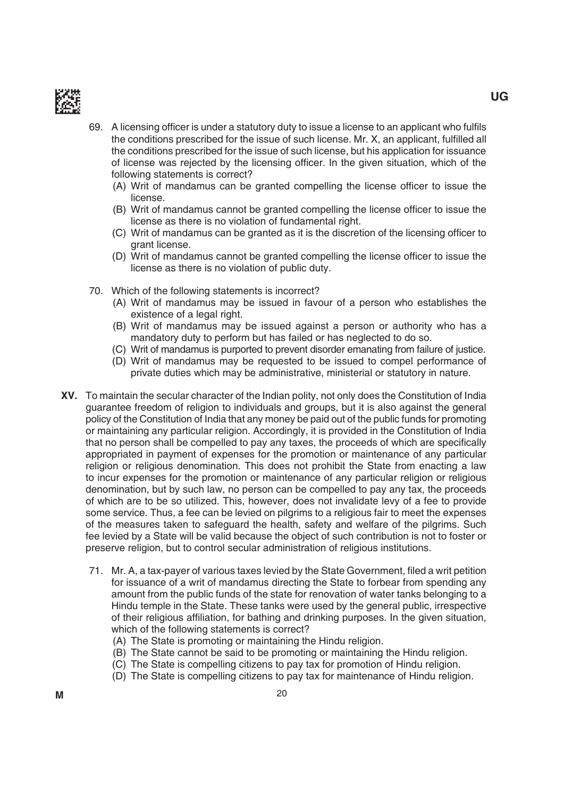

- 69. A licensing officer is under a statutory duty to issue a license to an applicant who fulfils the conditions prescribed for the issue of such license. Mr. X, an applicant, fulfilled all the conditions prescribed for the issue of such license, but his application for issuance of license was rejected by the licensing officer. In the given situation, which of the following statements is correct?
	- (A) Writ of mandamus can be granted compelling the license officer to issue the license.

- (B) Writ of mandamus cannot be granted compelling the license officer to issue the license as there is no violation of fundamental right.
- (C) Writ of mandamus can be granted as it is the discretion of the licensing officer to grant license.
- (D) Writ of mandamus cannot be granted compelling the license officer to issue the license as there is no violation of public duty.
- 70. Which of the following statements is incorrect?
	- (A) Writ of mandamus may be issued in favour of a person who establishes the existence of a legal right.
	- (b) Writ of mandamus may be issued against a person or authority who has a mandatory duty to perform but has failed or has neglected to do so.
	- (C) Writ of mandamus is purported to prevent disorder emanating from failure of justice.
	- (d) Writ of mandamus may be requested to be issued to compel performance of private duties which may be administrative, ministerial or statutory in nature.
- **XV.** To maintain the secular character of the Indian polity, not only does the Constitution of India guarantee freedom of religion to individuals and groups, but it is also against the general policy of the Constitution of india that any money be paid out of the public funds for promoting or maintaining any particular religion. Accordingly, it is provided in the Constitution of india that no person shall be compelled to pay any taxes, the proceeds of which are specifically appropriated in payment of expenses for the promotion or maintenance of any particular religion or religious denomination. This does not prohibit the State from enacting a law to incur expenses for the promotion or maintenance of any particular religion or religious denomination, but by such law, no person can be compelled to pay any tax, the proceeds of which are to be so utilized. this, however, does not invalidate levy of a fee to provide some service. Thus, a fee can be levied on pilgrims to a religious fair to meet the expenses of the measures taken to safeguard the health, safety and welfare of the pilgrims. Such fee levied by a State will be valid because the object of such contribution is not to foster or preserve religion, but to control secular administration of religious institutions.
	- 71. Mr. A, a tax-payer of various taxes levied by the State Government, filed a writ petition for issuance of a writ of mandamus directing the State to forbear from spending any amount from the public funds of the state for renovation of water tanks belonging to a Hindu temple in the State. These tanks were used by the general public, irrespective of their religious affiliation, for bathing and drinking purposes. In the given situation, which of the following statements is correct?
		- (A) The State is promoting or maintaining the Hindu religion.
		- (B) The State cannot be said to be promoting or maintaining the Hindu religion.
		- (C) The State is compelling citizens to pay tax for promotion of Hindu religion.
		- (D) The State is compelling citizens to pay tax for maintenance of Hindu religion.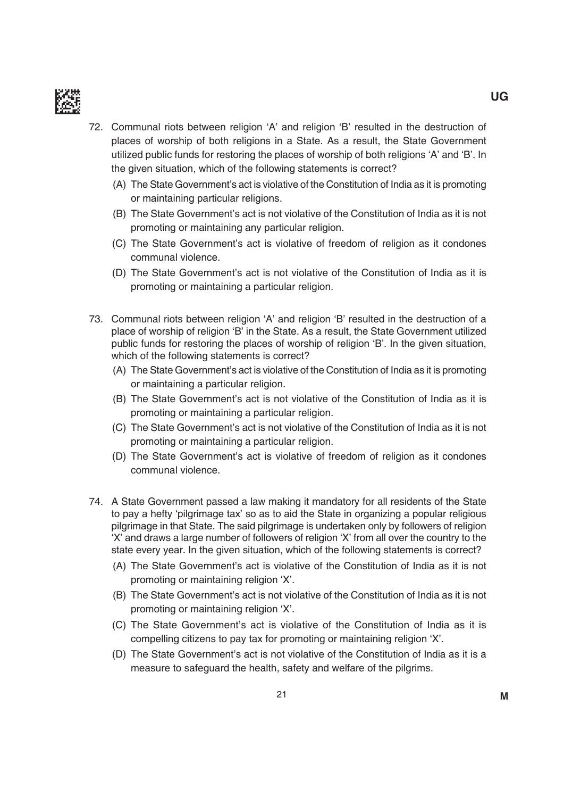

- 72. Communal riots between religion 'A' and religion 'B' resulted in the destruction of places of worship of both religions in a State. As a result, the State government utilized public funds for restoring the places of worship of both religions 'A' and 'b'. in the given situation, which of the following statements is correct?
	- (A) The State Government's act is violative of the Constitution of India as it is promoting or maintaining particular religions.
	- (B) The State Government's act is not violative of the Constitution of India as it is not promoting or maintaining any particular religion.
	- (C) The State Government's act is violative of freedom of religion as it condones communal violence.
	- (D) The State Government's act is not violative of the Constitution of India as it is promoting or maintaining a particular religion.
- 73. Communal riots between religion 'A' and religion 'b' resulted in the destruction of a place of worship of religion 'B' in the State. As a result, the State Government utilized public funds for restoring the places of worship of religion 'B'. In the given situation, which of the following statements is correct?
	- (A) The State Government's act is violative of the Constitution of India as it is promoting or maintaining a particular religion.
	- (B) The State Government's act is not violative of the Constitution of India as it is promoting or maintaining a particular religion.
	- (C) the State government's act is not violative of the Constitution of india as it is not promoting or maintaining a particular religion.
	- (D) The State Government's act is violative of freedom of religion as it condones communal violence.
- 74. A State Government passed a law making it mandatory for all residents of the State to pay a hefty 'pilgrimage tax' so as to aid the State in organizing a popular religious pilgrimage in that State. The said pilgrimage is undertaken only by followers of religion 'X' and draws a large number of followers of religion 'X' from all over the country to the state every year. in the given situation, which of the following statements is correct?
	- (A) The State Government's act is violative of the Constitution of India as it is not promoting or maintaining religion 'X'.
	- (B) The State Government's act is not violative of the Constitution of India as it is not promoting or maintaining religion 'X'.
	- (C) the State government's act is violative of the Constitution of india as it is compelling citizens to pay tax for promoting or maintaining religion 'X'.
	- (D) The State Government's act is not violative of the Constitution of India as it is a measure to safeguard the health, safety and welfare of the pilgrims.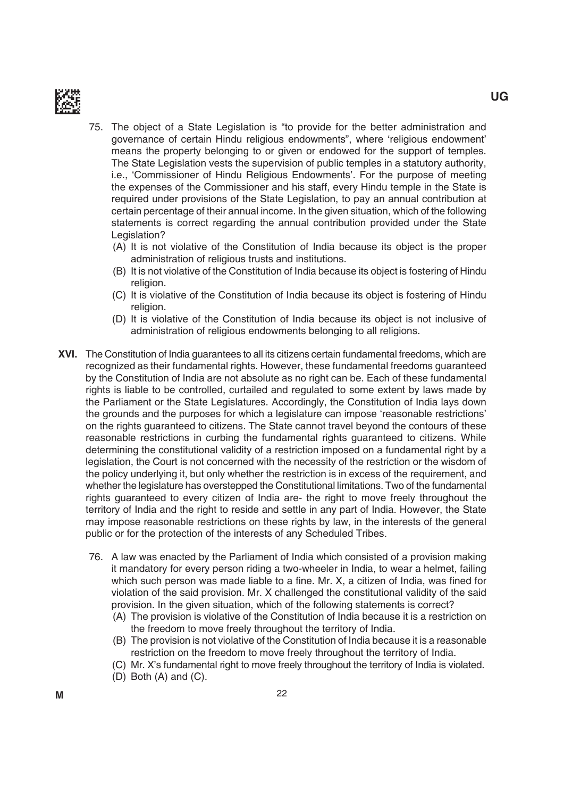

- 75. the object of a State Legislation is "to provide for the better administration and governance of certain Hindu religious endowments", where 'religious endowment' means the property belonging to or given or endowed for the support of temples. The State Legislation vests the supervision of public temples in a statutory authority, i.e., 'Commissioner of Hindu Religious Endowments'. For the purpose of meeting the expenses of the Commissioner and his staff, every Hindu temple in the State is required under provisions of the State Legislation, to pay an annual contribution at certain percentage of their annual income. in the given situation, which of the following statements is correct regarding the annual contribution provided under the State Legislation?
	- (A) it is not violative of the Constitution of india because its object is the proper administration of religious trusts and institutions.
	- (b) it is not violative of the Constitution of india because its object is fostering of Hindu religion.
	- (C) it is violative of the Constitution of india because its object is fostering of Hindu religion.
	- (d) it is violative of the Constitution of india because its object is not inclusive of administration of religious endowments belonging to all religions.
- **XVI.** The Constitution of India guarantees to all its citizens certain fundamental freedoms, which are recognized as their fundamental rights. However, these fundamental freedoms guaranteed by the Constitution of India are not absolute as no right can be. Each of these fundamental rights is liable to be controlled, curtailed and regulated to some extent by laws made by the Parliament or the State Legislatures. Accordingly, the Constitution of india lays down the grounds and the purposes for which a legislature can impose 'reasonable restrictions' on the rights guaranteed to citizens. The State cannot travel beyond the contours of these reasonable restrictions in curbing the fundamental rights guaranteed to citizens. While determining the constitutional validity of a restriction imposed on a fundamental right by a legislation, the Court is not concerned with the necessity of the restriction or the wisdom of the policy underlying it, but only whether the restriction is in excess of the requirement, and whether the legislature has overstepped the Constitutional limitations. Two of the fundamental rights guaranteed to every citizen of india are- the right to move freely throughout the territory of india and the right to reside and settle in any part of india. However, the State may impose reasonable restrictions on these rights by law, in the interests of the general public or for the protection of the interests of any Scheduled Tribes.
	- 76. A law was enacted by the Parliament of india which consisted of a provision making it mandatory for every person riding a two-wheeler in india, to wear a helmet, failing which such person was made liable to a fine. Mr. X, a citizen of India, was fined for violation of the said provision. mr. X challenged the constitutional validity of the said provision. in the given situation, which of the following statements is correct?
		- (A) The provision is violative of the Constitution of India because it is a restriction on the freedom to move freely throughout the territory of india.
		- (B) The provision is not violative of the Constitution of India because it is a reasonable restriction on the freedom to move freely throughout the territory of india.
		- (C) mr. X's fundamental right to move freely throughout the territory of india is violated.
		- $(D)$  Both  $(A)$  and  $(C)$ .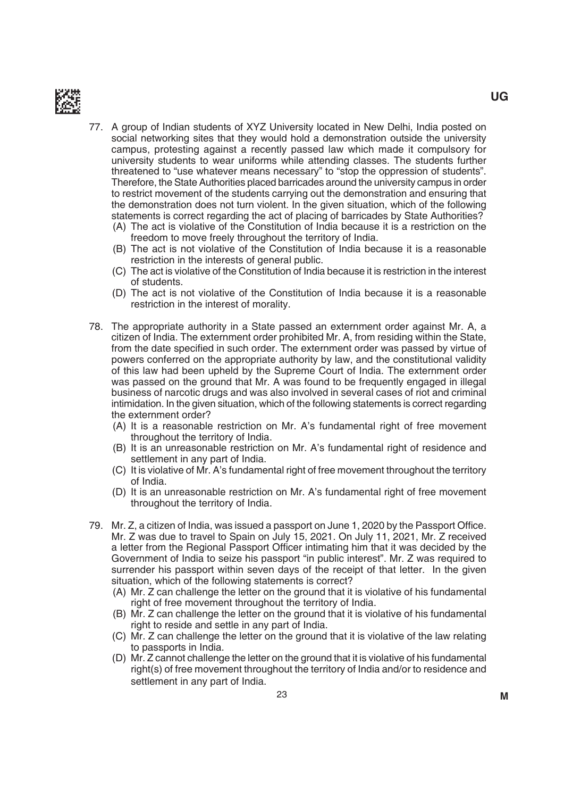

- 77. A group of indian students of XYZ university located in New delhi, india posted on social networking sites that they would hold a demonstration outside the university campus, protesting against a recently passed law which made it compulsory for university students to wear uniforms while attending classes. The students further threatened to "use whatever means necessary" to "stop the oppression of students". Therefore, the State Authorities placed barricades around the university campus in order to restrict movement of the students carrying out the demonstration and ensuring that the demonstration does not turn violent. in the given situation, which of the following statements is correct regarding the act of placing of barricades by State Authorities?
	- (A) The act is violative of the Constitution of India because it is a restriction on the freedom to move freely throughout the territory of india.
	- (b) the act is not violative of the Constitution of india because it is a reasonable restriction in the interests of general public.
	- (C) the act is violative of the Constitution of india because it is restriction in the interest of students.
	- (D) The act is not violative of the Constitution of India because it is a reasonable restriction in the interest of morality.
- 78. The appropriate authority in a State passed an externment order against Mr. A, a citizen of India. The externment order prohibited Mr. A, from residing within the State, from the date specified in such order. The externment order was passed by virtue of powers conferred on the appropriate authority by law, and the constitutional validity of this law had been upheld by the Supreme Court of India. The externment order was passed on the ground that Mr. A was found to be frequently engaged in illegal business of narcotic drugs and was also involved in several cases of riot and criminal intimidation. in the given situation, which of the following statements is correct regarding the externment order?
	- (A) it is a reasonable restriction on mr. A's fundamental right of free movement throughout the territory of India.
	- (b) it is an unreasonable restriction on mr. A's fundamental right of residence and settlement in any part of India.
	- (C) it is violative of mr. A's fundamental right of free movement throughout the territory of india.
	- (D) It is an unreasonable restriction on Mr. A's fundamental right of free movement throughout the territory of india.
- 79. Mr. Z, a citizen of India, was issued a passport on June 1, 2020 by the Passport Office. mr. Z was due to travel to Spain on July 15, 2021. On July 11, 2021, mr. Z received a letter from the Regional Passport Officer intimating him that it was decided by the Government of India to seize his passport "in public interest". Mr. Z was required to surrender his passport within seven days of the receipt of that letter. in the given situation, which of the following statements is correct?
	- (A) mr. Z can challenge the letter on the ground that it is violative of his fundamental right of free movement throughout the territory of india.
	- (b) mr. Z can challenge the letter on the ground that it is violative of his fundamental right to reside and settle in any part of india.
	- (C) mr. Z can challenge the letter on the ground that it is violative of the law relating to passports in India.
	- (D) Mr. Z cannot challenge the letter on the ground that it is violative of his fundamental right(s) of free movement throughout the territory of india and/or to residence and settlement in any part of India.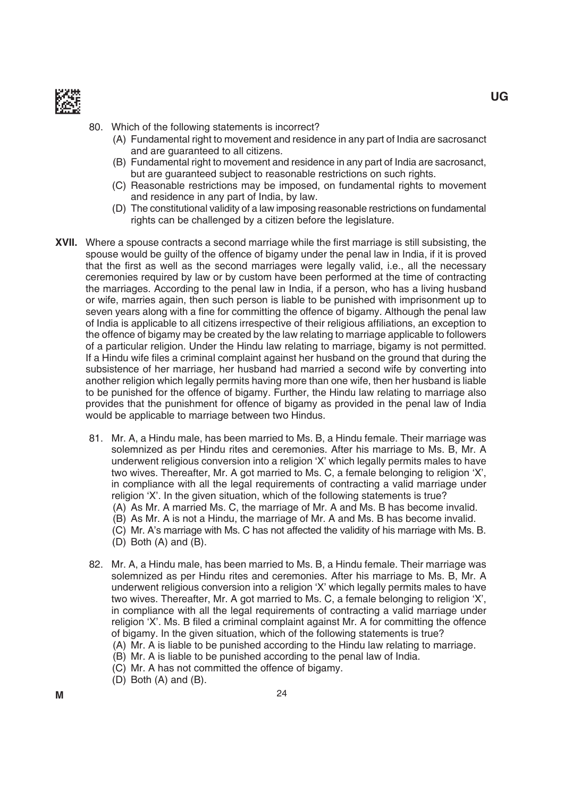

- 80. Which of the following statements is incorrect?
	- (A) Fundamental right to movement and residence in any part of india are sacrosanct and are guaranteed to all citizens.
	- (b) Fundamental right to movement and residence in any part of india are sacrosanct, but are guaranteed subject to reasonable restrictions on such rights.
	- (C) Reasonable restrictions may be imposed, on fundamental rights to movement and residence in any part of india, by law.
	- (D) The constitutional validity of a law imposing reasonable restrictions on fundamental rights can be challenged by a citizen before the legislature.
- XVII. Where a spouse contracts a second marriage while the first marriage is still subsisting, the spouse would be guilty of the offence of bigamy under the penal law in india, if it is proved that the first as well as the second marriages were legally valid, i.e., all the necessary ceremonies required by law or by custom have been performed at the time of contracting the marriages. According to the penal law in india, if a person, who has a living husband or wife, marries again, then such person is liable to be punished with imprisonment up to seven years along with a fine for committing the offence of bigamy. Although the penal law of India is applicable to all citizens irrespective of their religious affiliations, an exception to the offence of bigamy may be created by the law relating to marriage applicable to followers of a particular religion. Under the Hindu law relating to marriage, bigamy is not permitted. If a Hindu wife files a criminal complaint against her husband on the ground that during the subsistence of her marriage, her husband had married a second wife by converting into another religion which legally permits having more than one wife, then her husband is liable to be punished for the offence of bigamy. Further, the Hindu law relating to marriage also provides that the punishment for offence of bigamy as provided in the penal law of india would be applicable to marriage between two Hindus.
	- 81. Mr. A, a Hindu male, has been married to Ms. B, a Hindu female. Their marriage was solemnized as per Hindu rites and ceremonies. After his marriage to Ms. B, Mr. A underwent religious conversion into a religion 'X' which legally permits males to have two wives. Thereafter, Mr. A got married to Ms. C, a female belonging to religion 'X', in compliance with all the legal requirements of contracting a valid marriage under religion 'X'. in the given situation, which of the following statements is true?
		- (A) As Mr. A married Ms. C, the marriage of Mr. A and Ms. B has become invalid.
		- (B) As Mr. A is not a Hindu, the marriage of Mr. A and Ms. B has become invalid.
		- (C) Mr. A's marriage with Ms. C has not affected the validity of his marriage with Ms. B.
		- $(D)$  Both  $(A)$  and  $(B)$ .
	- 82. Mr. A, a Hindu male, has been married to Ms. B, a Hindu female. Their marriage was solemnized as per Hindu rites and ceremonies. After his marriage to Ms. B, Mr. A underwent religious conversion into a religion 'X' which legally permits males to have two wives. Thereafter, Mr. A got married to Ms. C, a female belonging to religion 'X', in compliance with all the legal requirements of contracting a valid marriage under religion 'X'. Ms. B filed a criminal complaint against Mr. A for committing the offence of bigamy. in the given situation, which of the following statements is true?
		- (A) mr. A is liable to be punished according to the Hindu law relating to marriage.
		- (b) mr. A is liable to be punished according to the penal law of india.
		- (C) mr. A has not committed the offence of bigamy.
		- $(D)$  Both  $(A)$  and  $(B)$ .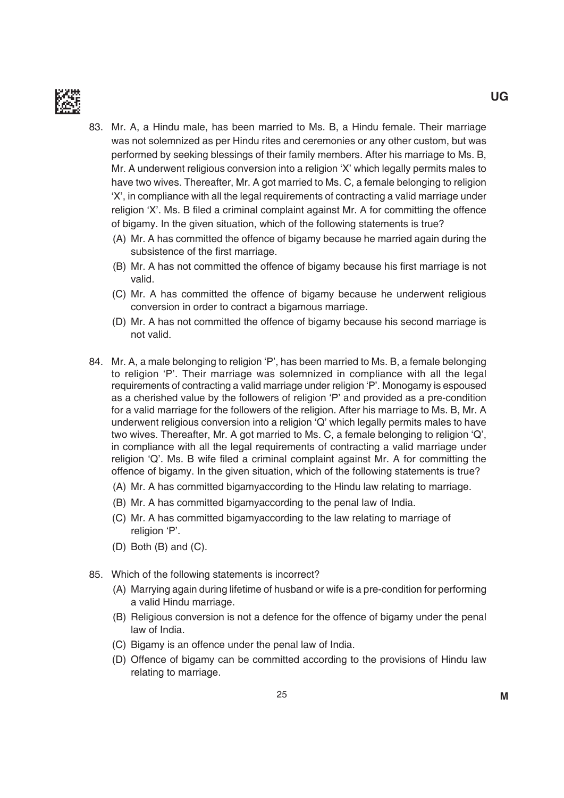

- 83. Mr. A, a Hindu male, has been married to Ms. B, a Hindu female. Their marriage was not solemnized as per Hindu rites and ceremonies or any other custom, but was performed by seeking blessings of their family members. After his marriage to Ms. B, mr. A underwent religious conversion into a religion 'X' which legally permits males to have two wives. Thereafter, Mr. A got married to Ms. C, a female belonging to religion 'X', in compliance with all the legal requirements of contracting a valid marriage under religion 'X'. Ms. B filed a criminal complaint against Mr. A for committing the offence of bigamy. in the given situation, which of the following statements is true?
	- (A) mr. A has committed the offence of bigamy because he married again during the subsistence of the first marriage.
	- (B) Mr. A has not committed the offence of bigamy because his first marriage is not valid.
	- (C) mr. A has committed the offence of bigamy because he underwent religious conversion in order to contract a bigamous marriage.
	- (d) mr. A has not committed the offence of bigamy because his second marriage is not valid.
- 84. Mr. A, a male belonging to religion 'P', has been married to Ms. B, a female belonging to religion 'P'. Their marriage was solemnized in compliance with all the legal requirements of contracting a valid marriage under religion 'P'. monogamy is espoused as a cherished value by the followers of religion 'P' and provided as a pre-condition for a valid marriage for the followers of the religion. After his marriage to Ms. B, Mr. A underwent religious conversion into a religion 'Q' which legally permits males to have two wives. Thereafter, Mr. A got married to Ms. C, a female belonging to religion 'Q', in compliance with all the legal requirements of contracting a valid marriage under religion  $\dot{Q}$ . Ms. B wife filed a criminal complaint against Mr. A for committing the offence of bigamy. in the given situation, which of the following statements is true?
	- (A) mr. A has committed bigamyaccording to the Hindu law relating to marriage.
	- (B) Mr. A has committed bigamyaccording to the penal law of India.
	- (C) mr. A has committed bigamyaccording to the law relating to marriage of religion 'P'.
	- $(D)$  Both  $(B)$  and  $(C)$ .
- 85. Which of the following statements is incorrect?
	- (A) marrying again during lifetime of husband or wife is a pre-condition for performing a valid Hindu marriage.
	- (B) Religious conversion is not a defence for the offence of bigamy under the penal law of india.
	- (C) bigamy is an offence under the penal law of india.
	- (d) Offence of bigamy can be committed according to the provisions of Hindu law relating to marriage.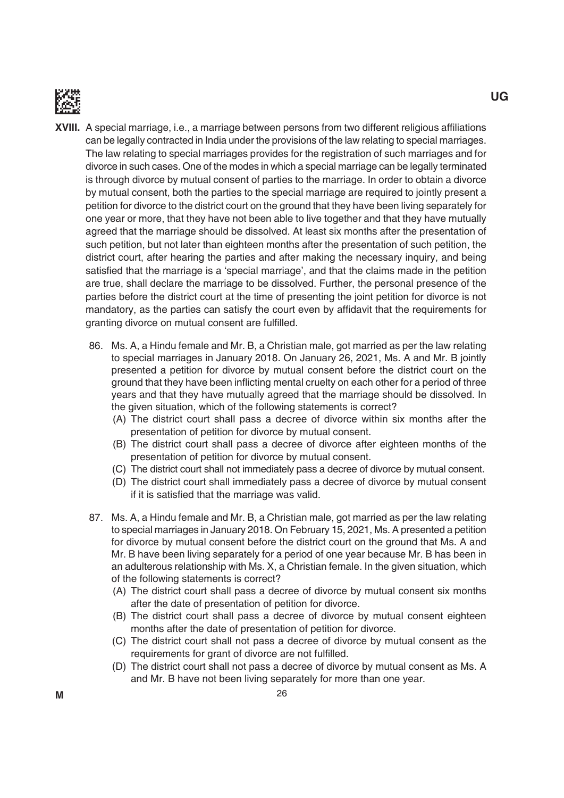

- **XVIII.** A special marriage, i.e., a marriage between persons from two different religious affiliations can be legally contracted in india under the provisions of the law relating to special marriages. The law relating to special marriages provides for the registration of such marriages and for divorce in such cases. One of the modes in which a special marriage can be legally terminated is through divorce by mutual consent of parties to the marriage. in order to obtain a divorce by mutual consent, both the parties to the special marriage are required to jointly present a petition for divorce to the district court on the ground that they have been living separately for one year or more, that they have not been able to live together and that they have mutually agreed that the marriage should be dissolved. At least six months after the presentation of such petition, but not later than eighteen months after the presentation of such petition, the district court, after hearing the parties and after making the necessary inquiry, and being satisfied that the marriage is a 'special marriage', and that the claims made in the petition are true, shall declare the marriage to be dissolved. Further, the personal presence of the parties before the district court at the time of presenting the joint petition for divorce is not mandatory, as the parties can satisfy the court even by affidavit that the requirements for granting divorce on mutual consent are fulfilled.
	- 86. Ms. A, a Hindu female and Mr. B, a Christian male, got married as per the law relating to special marriages in January 2018. On January 26, 2021, Ms. A and Mr. B jointly presented a petition for divorce by mutual consent before the district court on the ground that they have been inflicting mental cruelty on each other for a period of three years and that they have mutually agreed that the marriage should be dissolved. in the given situation, which of the following statements is correct?
		- (A) The district court shall pass a decree of divorce within six months after the presentation of petition for divorce by mutual consent.
		- (B) The district court shall pass a decree of divorce after eighteen months of the presentation of petition for divorce by mutual consent.
		- (C) the district court shall not immediately pass a decree of divorce by mutual consent.
		- (D) The district court shall immediately pass a decree of divorce by mutual consent if it is satisfied that the marriage was valid.
	- 87. Ms. A, a Hindu female and Mr. B, a Christian male, got married as per the law relating to special marriages in January 2018. On February 15, 2021, ms. A presented a petition for divorce by mutual consent before the district court on the ground that Ms. A and Mr. B have been living separately for a period of one year because Mr. B has been in an adulterous relationship with ms. X, a Christian female. in the given situation, which of the following statements is correct?
		- (A) the district court shall pass a decree of divorce by mutual consent six months after the date of presentation of petition for divorce.
		- (B) The district court shall pass a decree of divorce by mutual consent eighteen months after the date of presentation of petition for divorce.
		- (C) the district court shall not pass a decree of divorce by mutual consent as the requirements for grant of divorce are not fulfilled.
		- (D) The district court shall not pass a decree of divorce by mutual consent as Ms. A and Mr. B have not been living separately for more than one year.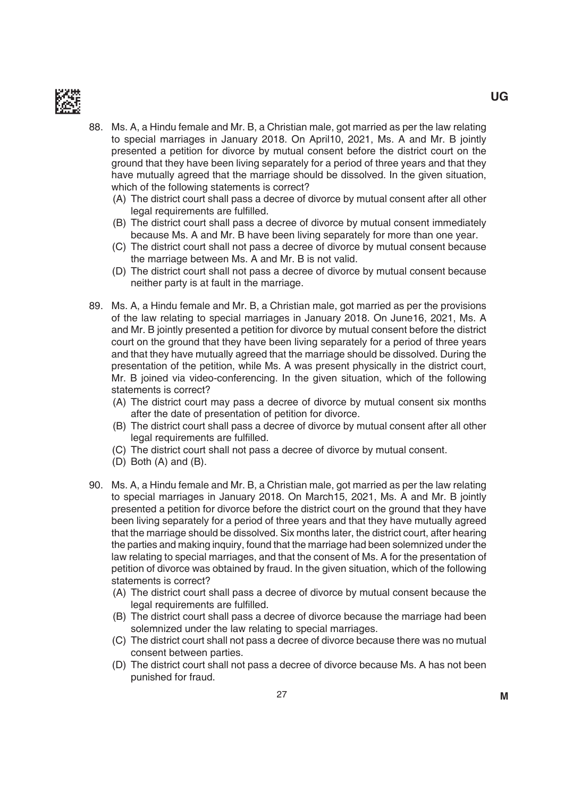

- 88. Ms. A, a Hindu female and Mr. B, a Christian male, got married as per the law relating to special marriages in January 2018. On April10, 2021, Ms. A and Mr. B jointly presented a petition for divorce by mutual consent before the district court on the ground that they have been living separately for a period of three years and that they have mutually agreed that the marriage should be dissolved. in the given situation, which of the following statements is correct?
	- (A) The district court shall pass a decree of divorce by mutual consent after all other legal requirements are fulfilled.
	- (B) The district court shall pass a decree of divorce by mutual consent immediately because Ms. A and Mr. B have been living separately for more than one year.
	- (C) the district court shall not pass a decree of divorce by mutual consent because the marriage between Ms. A and Mr. B is not valid.
	- (D) The district court shall not pass a decree of divorce by mutual consent because neither party is at fault in the marriage.
- 89. Ms. A, a Hindu female and Mr. B, a Christian male, got married as per the provisions of the law relating to special marriages in January 2018. On June16, 2021, ms. A and Mr. B jointly presented a petition for divorce by mutual consent before the district court on the ground that they have been living separately for a period of three years and that they have mutually agreed that the marriage should be dissolved. During the presentation of the petition, while Ms. A was present physically in the district court, Mr. B joined via video-conferencing. In the given situation, which of the following statements is correct?
	- (A) The district court may pass a decree of divorce by mutual consent six months after the date of presentation of petition for divorce.
	- (B) The district court shall pass a decree of divorce by mutual consent after all other legal requirements are fulfilled.
	- (C) The district court shall not pass a decree of divorce by mutual consent.
	- $(D)$  Both  $(A)$  and  $(B)$ .
- 90. Ms. A, a Hindu female and Mr. B, a Christian male, got married as per the law relating to special marriages in January 2018. On march15, 2021, ms. A and mr. b jointly presented a petition for divorce before the district court on the ground that they have been living separately for a period of three years and that they have mutually agreed that the marriage should be dissolved. Six months later, the district court, after hearing the parties and making inquiry, found that the marriage had been solemnized under the law relating to special marriages, and that the consent of ms. A for the presentation of petition of divorce was obtained by fraud. in the given situation, which of the following statements is correct?
	- (A) The district court shall pass a decree of divorce by mutual consent because the legal requirements are fulfilled.
	- (B) The district court shall pass a decree of divorce because the marriage had been solemnized under the law relating to special marriages.
	- (C) the district court shall not pass a decree of divorce because there was no mutual consent between parties.
	- (D) The district court shall not pass a decree of divorce because Ms. A has not been punished for fraud.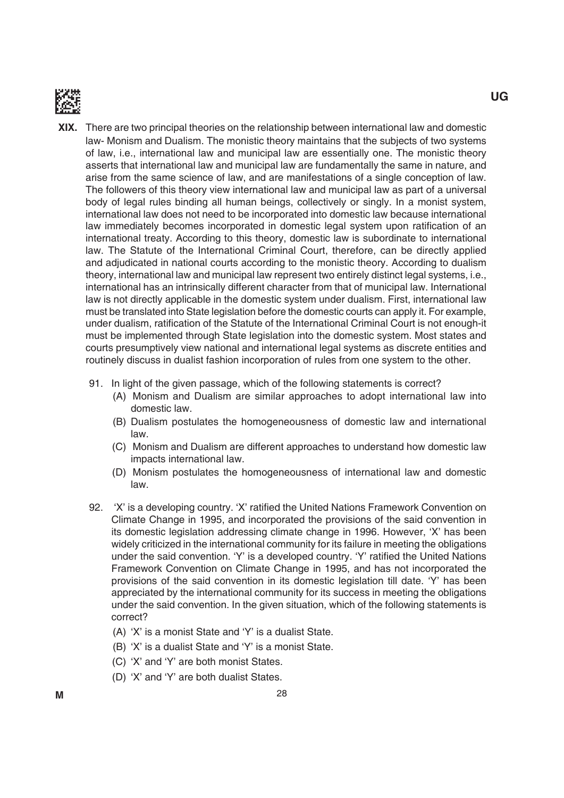

- **XIX.** There are two principal theories on the relationship between international law and domestic law- Monism and Dualism. The monistic theory maintains that the subjects of two systems of law, i.e., international law and municipal law are essentially one. the monistic theory asserts that international law and municipal law are fundamentally the same in nature, and arise from the same science of law, and are manifestations of a single conception of law. The followers of this theory view international law and municipal law as part of a universal body of legal rules binding all human beings, collectively or singly. in a monist system, international law does not need to be incorporated into domestic law because international law immediately becomes incorporated in domestic legal system upon ratification of an international treaty. According to this theory, domestic law is subordinate to international law. the Statute of the international Criminal Court, therefore, can be directly applied and adjudicated in national courts according to the monistic theory. According to dualism theory, international law and municipal law represent two entirely distinct legal systems, i.e., international has an intrinsically different character from that of municipal law. international law is not directly applicable in the domestic system under dualism. First, international law must be translated into State legislation before the domestic courts can apply it. For example, under dualism, ratification of the Statute of the International Criminal Court is not enough-it must be implemented through State legislation into the domestic system. most states and courts presumptively view national and international legal systems as discrete entities and routinely discuss in dualist fashion incorporation of rules from one system to the other.
	- 91. in light of the given passage, which of the following statements is correct?
		- (A) Monism and Dualism are similar approaches to adopt international law into domestic law.
		- (B) Dualism postulates the homogeneousness of domestic law and international law.
		- (C) Monism and Dualism are different approaches to understand how domestic law impacts international law.
		- (d) monism postulates the homogeneousness of international law and domestic law.
	- 92. 'X' is a developing country. 'X' ratified the United Nations Framework Convention on Climate Change in 1995, and incorporated the provisions of the said convention in its domestic legislation addressing climate change in 1996. However, 'X' has been widely criticized in the international community for its failure in meeting the obligations under the said convention. 'Y' is a developed country. 'Y' ratified the United Nations Framework Convention on Climate Change in 1995, and has not incorporated the provisions of the said convention in its domestic legislation till date. 'Y' has been appreciated by the international community for its success in meeting the obligations under the said convention. in the given situation, which of the following statements is correct?
		- (A) 'X' is a monist State and 'Y' is a dualist State.
		- (b) 'X' is a dualist State and 'Y' is a monist State.
		- (C) 'X' and 'Y' are both monist States.
		- (D) 'X' and 'Y' are both dualist States.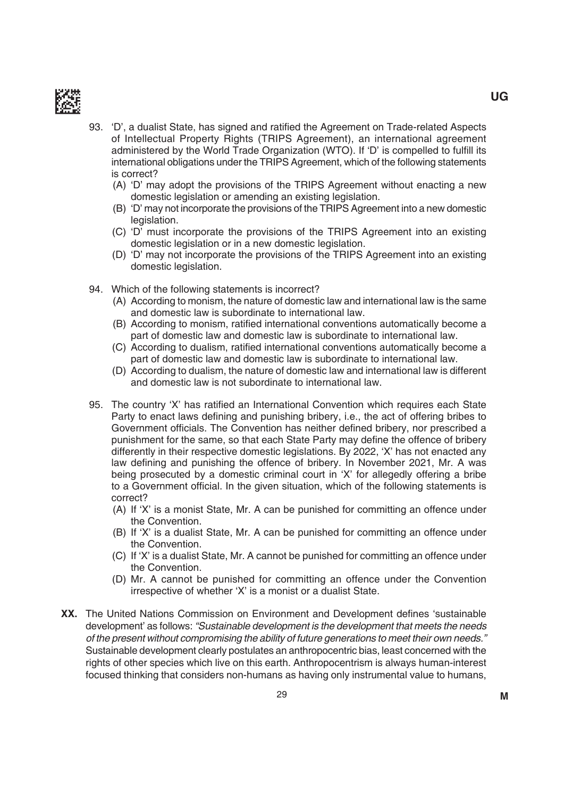

- 93. 'D', a dualist State, has signed and ratified the Agreement on Trade-related Aspects of Intellectual Property Rights (TRIPS Agreement), an international agreement administered by the World Trade Organization (WTO). If 'D' is compelled to fulfill its international obligations under the TRIPS Agreement, which of the following statements is correct?
	- (A) 'D' may adopt the provisions of the TRIPS Agreement without enacting a new domestic legislation or amending an existing legislation.
	- (B) 'D' may not incorporate the provisions of the TRIPS Agreement into a new domestic legislation.
	- (C) 'D' must incorporate the provisions of the TRIPS Agreement into an existing domestic legislation or in a new domestic legislation.
	- (D) 'D' may not incorporate the provisions of the TRIPS Agreement into an existing domestic legislation.
- 94. Which of the following statements is incorrect?
	- (A) According to monism, the nature of domestic law and international law is the same and domestic law is subordinate to international law.
	- (B) According to monism, ratified international conventions automatically become a part of domestic law and domestic law is subordinate to international law.
	- (C) According to dualism, ratified international conventions automatically become a part of domestic law and domestic law is subordinate to international law.
	- (d) According to dualism, the nature of domestic law and international law is different and domestic law is not subordinate to international law.
- 95. The country 'X' has ratified an International Convention which requires each State Party to enact laws defining and punishing bribery, i.e., the act of offering bribes to Government officials. The Convention has neither defined bribery, nor prescribed a punishment for the same, so that each State Party may define the offence of bribery differently in their respective domestic legislations. by 2022, 'X' has not enacted any law defining and punishing the offence of bribery. In November 2021, Mr. A was being prosecuted by a domestic criminal court in 'X' for allegedly offering a bribe to a Government official. In the given situation, which of the following statements is correct?
	- (A) if 'X' is a monist State, mr. A can be punished for committing an offence under the Convention.
	- (b) if 'X' is a dualist State, mr. A can be punished for committing an offence under the Convention.
	- (C) if 'X' is a dualist State, mr. A cannot be punished for committing an offence under the Convention.
	- (d) mr. A cannot be punished for committing an offence under the Convention irrespective of whether 'X' is a monist or a dualist State.
- **XX.** The United Nations Commission on Environment and Development defines 'sustainable development' as follows: "Sustainable development is the development that meets the needs of the present without compromising the ability of future generations to meet their own needs." Sustainable development clearly postulates an anthropocentric bias, least concerned with the rights of other species which live on this earth. Anthropocentrism is always human-interest focused thinking that considers non-humans as having only instrumental value to humans,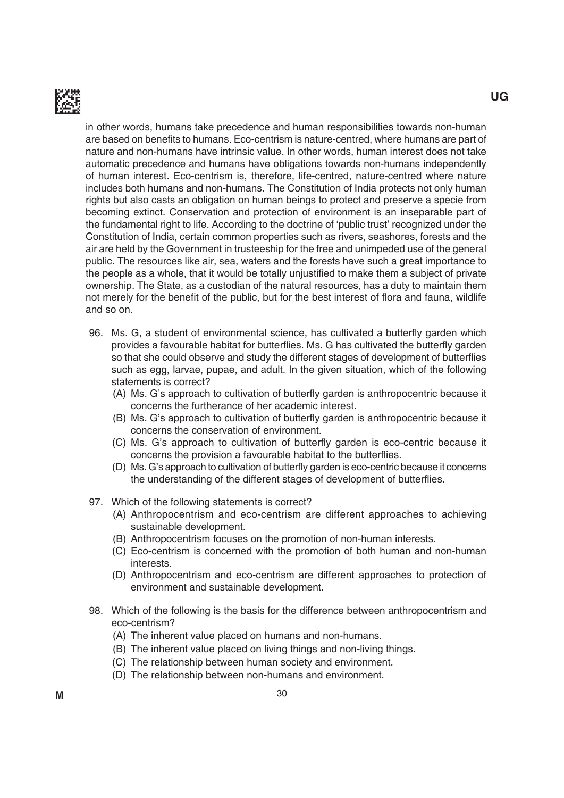

in other words, humans take precedence and human responsibilities towards non-human are based on benefits to humans. Eco-centrism is nature-centred, where humans are part of nature and non-humans have intrinsic value. in other words, human interest does not take automatic precedence and humans have obligations towards non-humans independently of human interest. eco-centrism is, therefore, life-centred, nature-centred where nature includes both humans and non-humans. The Constitution of India protects not only human rights but also casts an obligation on human beings to protect and preserve a specie from becoming extinct. Conservation and protection of environment is an inseparable part of the fundamental right to life. According to the doctrine of 'public trust' recognized under the Constitution of india, certain common properties such as rivers, seashores, forests and the air are held by the government in trusteeship for the free and unimpeded use of the general public. The resources like air, sea, waters and the forests have such a great importance to the people as a whole, that it would be totally unjustified to make them a subject of private ownership. The State, as a custodian of the natural resources, has a duty to maintain them not merely for the benefit of the public, but for the best interest of flora and fauna, wildlife and so on.

- 96. Ms. G, a student of environmental science, has cultivated a butterfly garden which provides a favourable habitat for butterflies. Ms. G has cultivated the butterfly garden so that she could observe and study the different stages of development of butterflies such as egg, larvae, pupae, and adult. in the given situation, which of the following statements is correct?
	- (A) Ms. G's approach to cultivation of butterfly garden is anthropocentric because it concerns the furtherance of her academic interest.
	- (B) Ms. G's approach to cultivation of butterfly garden is anthropocentric because it concerns the conservation of environment.
	- (C) Ms. G's approach to cultivation of butterfly garden is eco-centric because it concerns the provision a favourable habitat to the butterflies.
	- (D) Ms. G's approach to cultivation of butterfly garden is eco-centric because it concerns the understanding of the different stages of development of butterflies.
- 97. Which of the following statements is correct?
	- (A) Anthropocentrism and eco-centrism are different approaches to achieving sustainable development.
	- (b) Anthropocentrism focuses on the promotion of non-human interests.
	- (C) eco-centrism is concerned with the promotion of both human and non-human interests.
	- (d) Anthropocentrism and eco-centrism are different approaches to protection of environment and sustainable development.
- 98. Which of the following is the basis for the difference between anthropocentrism and eco-centrism?
	- (A) The inherent value placed on humans and non-humans.
	- (B) The inherent value placed on living things and non-living things.
	- (C) The relationship between human society and environment.
	- (D) The relationship between non-humans and environment.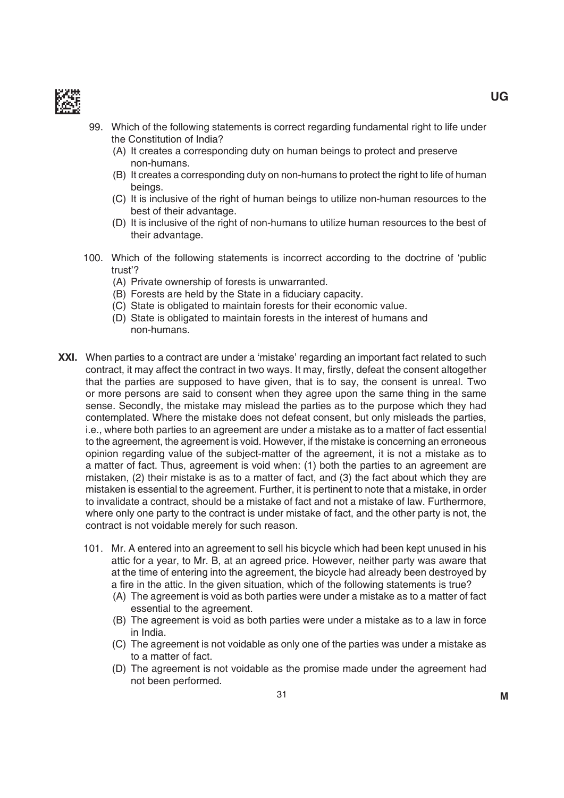

- 99. Which of the following statements is correct regarding fundamental right to life under the Constitution of India?
	- (A) it creates a corresponding duty on human beings to protect and preserve non-humans.
	- (b) it creates a corresponding duty on non-humans to protect the right to life of human beings.
	- (C) it is inclusive of the right of human beings to utilize non-human resources to the best of their advantage.
	- (d) it is inclusive of the right of non-humans to utilize human resources to the best of their advantage.
- 100. Which of the following statements is incorrect according to the doctrine of 'public trust'?
	- (A) Private ownership of forests is unwarranted.
	- (B) Forests are held by the State in a fiduciary capacity.
	- (C) State is obligated to maintain forests for their economic value.
	- (D) State is obligated to maintain forests in the interest of humans and non-humans.
- **XXI.** When parties to a contract are under a 'mistake' regarding an important fact related to such contract, it may affect the contract in two ways. It may, firstly, defeat the consent altogether that the parties are supposed to have given, that is to say, the consent is unreal. Two or more persons are said to consent when they agree upon the same thing in the same sense. Secondly, the mistake may mislead the parties as to the purpose which they had contemplated. Where the mistake does not defeat consent, but only misleads the parties, i.e., where both parties to an agreement are under a mistake as to a matter of fact essential to the agreement, the agreement is void. However, if the mistake is concerning an erroneous opinion regarding value of the subject-matter of the agreement, it is not a mistake as to a matter of fact. Thus, agreement is void when: (1) both the parties to an agreement are mistaken, (2) their mistake is as to a matter of fact, and (3) the fact about which they are mistaken is essential to the agreement. Further, it is pertinent to note that a mistake, in order to invalidate a contract, should be a mistake of fact and not a mistake of law. Furthermore, where only one party to the contract is under mistake of fact, and the other party is not, the contract is not voidable merely for such reason.
	- 101. mr. A entered into an agreement to sell his bicycle which had been kept unused in his attic for a year, to Mr. B, at an agreed price. However, neither party was aware that at the time of entering into the agreement, the bicycle had already been destroyed by a fire in the attic. In the given situation, which of the following statements is true?
		- (A) The agreement is void as both parties were under a mistake as to a matter of fact essential to the agreement.
		- (B) The agreement is void as both parties were under a mistake as to a law in force in India.
		- (C) the agreement is not voidable as only one of the parties was under a mistake as to a matter of fact.
		- (D) The agreement is not voidable as the promise made under the agreement had not been performed.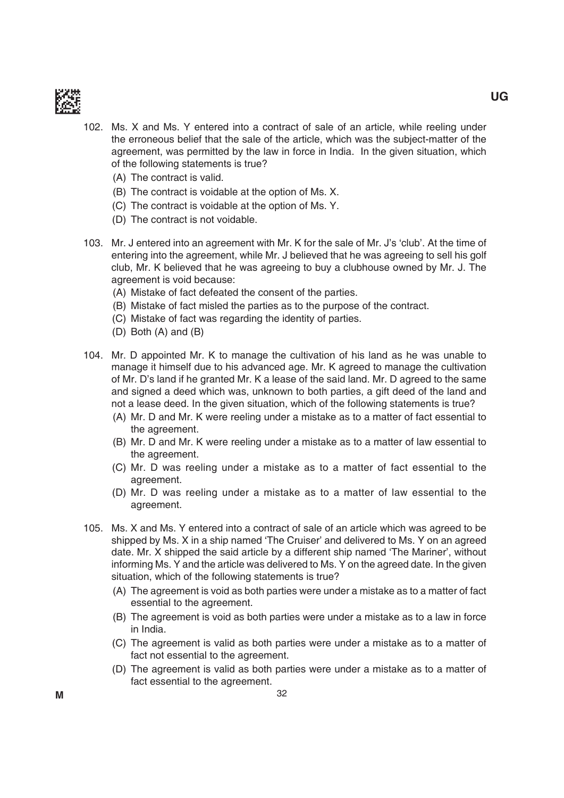

102. ms. X and ms. Y entered into a contract of sale of an article, while reeling under the erroneous belief that the sale of the article, which was the subject-matter of the agreement, was permitted by the law in force in india. in the given situation, which of the following statements is true?

- (A) The contract is valid.
- (B) The contract is voidable at the option of Ms. X.
- (C) The contract is voidable at the option of Ms. Y.
- (D) The contract is not voidable.
- 103. Mr. J entered into an agreement with Mr. K for the sale of Mr. J's 'club'. At the time of entering into the agreement, while Mr. J believed that he was agreeing to sell his golf club, Mr. K believed that he was agreeing to buy a clubhouse owned by Mr. J. The agreement is void because:
	- (A) Mistake of fact defeated the consent of the parties.
	- (b) mistake of fact misled the parties as to the purpose of the contract.
	- (C) mistake of fact was regarding the identity of parties.
	- $(D)$  Both  $(A)$  and  $(B)$
- 104. Mr. D appointed Mr. K to manage the cultivation of his land as he was unable to manage it himself due to his advanced age. mr. K agreed to manage the cultivation of Mr. D's land if he granted Mr. K a lease of the said land. Mr. D agreed to the same and signed a deed which was, unknown to both parties, a gift deed of the land and not a lease deed. in the given situation, which of the following statements is true?
	- (A) Mr. D and Mr. K were reeling under a mistake as to a matter of fact essential to the agreement.
	- (B) Mr. D and Mr. K were reeling under a mistake as to a matter of law essential to the agreement.
	- (C) Mr. D was reeling under a mistake as to a matter of fact essential to the agreement.
	- (D) Mr. D was reeling under a mistake as to a matter of law essential to the agreement.
- 105. ms. X and ms. Y entered into a contract of sale of an article which was agreed to be shipped by Ms. X in a ship named 'The Cruiser' and delivered to Ms. Y on an agreed date. Mr. X shipped the said article by a different ship named 'The Mariner', without informing Ms. Y and the article was delivered to Ms. Y on the agreed date. In the given situation, which of the following statements is true?
	- (A) The agreement is void as both parties were under a mistake as to a matter of fact essential to the agreement.
	- (B) The agreement is void as both parties were under a mistake as to a law in force in India.
	- (C) the agreement is valid as both parties were under a mistake as to a matter of fact not essential to the agreement.
	- (D) The agreement is valid as both parties were under a mistake as to a matter of fact essential to the agreement.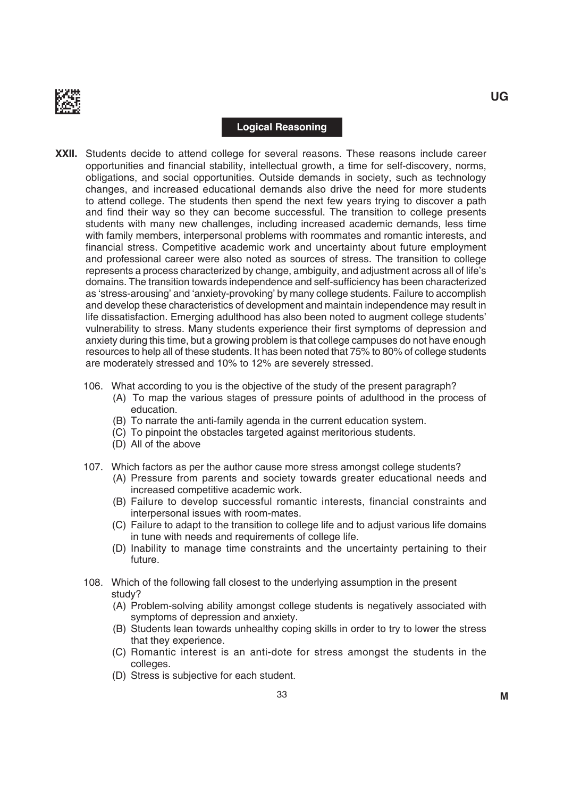

#### **Logical Reasoning**

- **XXII.** Students decide to attend college for several reasons. These reasons include career opportunities and financial stability, intellectual growth, a time for self-discovery, norms, obligations, and social opportunities. Outside demands in society, such as technology changes, and increased educational demands also drive the need for more students to attend college. The students then spend the next few years trying to discover a path and find their way so they can become successful. The transition to college presents students with many new challenges, including increased academic demands, less time with family members, interpersonal problems with roommates and romantic interests, and financial stress. Competitive academic work and uncertainty about future employment and professional career were also noted as sources of stress. The transition to college represents a process characterized by change, ambiguity, and adjustment across all of life's domains. The transition towards independence and self-sufficiency has been characterized as 'stress-arousing' and 'anxiety-provoking' by many college students. Failure to accomplish and develop these characteristics of development and maintain independence may result in life dissatisfaction. Emerging adulthood has also been noted to augment college students' vulnerability to stress. Many students experience their first symptoms of depression and anxiety during this time, but a growing problem is that college campuses do not have enough resources to help all of these students. it has been noted that 75% to 80% of college students are moderately stressed and 10% to 12% are severely stressed.
	- 106. What according to you is the objective of the study of the present paragraph?
		- (A) To map the various stages of pressure points of adulthood in the process of education.
		- (B) To narrate the anti-family agenda in the current education system.
		- (C) To pinpoint the obstacles targeted against meritorious students.
		- (D) All of the above
	- 107. Which factors as per the author cause more stress amongst college students?
		- (A) Pressure from parents and society towards greater educational needs and increased competitive academic work.
		- (b) Failure to develop successful romantic interests, financial constraints and interpersonal issues with room-mates.
		- (C) Failure to adapt to the transition to college life and to adjust various life domains in tune with needs and requirements of college life.
		- (d) inability to manage time constraints and the uncertainty pertaining to their future.
	- 108. Which of the following fall closest to the underlying assumption in the present study?
		- (A) Problem-solving ability amongst college students is negatively associated with symptoms of depression and anxiety.
		- (b) Students lean towards unhealthy coping skills in order to try to lower the stress that they experience.
		- (C) Romantic interest is an anti-dote for stress amongst the students in the colleges.
		- (D) Stress is subjective for each student.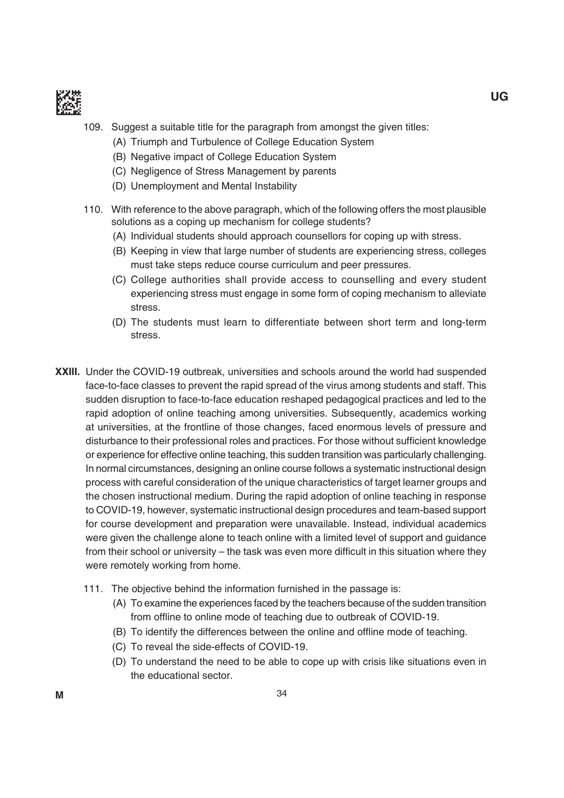

- 109. Suggest a suitable title for the paragraph from amongst the given titles:
	- (A) Triumph and Turbulence of College Education System
	- (B) Negative impact of College Education System
	- (C) Negligence of Stress management by parents
	- (D) Unemployment and Mental Instability
- 110. With reference to the above paragraph, which of the following offers the most plausible solutions as a coping up mechanism for college students?
	- (A) individual students should approach counsellors for coping up with stress.
	- (b) Keeping in view that large number of students are experiencing stress, colleges must take steps reduce course curriculum and peer pressures.
	- (C) College authorities shall provide access to counselling and every student experiencing stress must engage in some form of coping mechanism to alleviate stress.
	- (d) the students must learn to differentiate between short term and long-term stress.
- **XXIII.** Under the COVID-19 outbreak, universities and schools around the world had suspended face-to-face classes to prevent the rapid spread of the virus among students and staff. This sudden disruption to face-to-face education reshaped pedagogical practices and led to the rapid adoption of online teaching among universities. Subsequently, academics working at universities, at the frontline of those changes, faced enormous levels of pressure and disturbance to their professional roles and practices. For those without sufficient knowledge or experience for effective online teaching, this sudden transition was particularly challenging. in normal circumstances, designing an online course follows a systematic instructional design process with careful consideration of the unique characteristics of target learner groups and the chosen instructional medium. During the rapid adoption of online teaching in response to COVid-19, however, systematic instructional design procedures and team-based support for course development and preparation were unavailable. Instead, individual academics were given the challenge alone to teach online with a limited level of support and guidance from their school or university – the task was even more difficult in this situation where they were remotely working from home.
	- 111. The objective behind the information furnished in the passage is:
		- (A) To examine the experiences faced by the teachers because of the sudden transition from offline to online mode of teaching due to outbreak of COVID-19.
		- (B) To identify the differences between the online and offline mode of teaching.
		- (C) To reveal the side-effects of COVID-19.
		- (D) To understand the need to be able to cope up with crisis like situations even in the educational sector.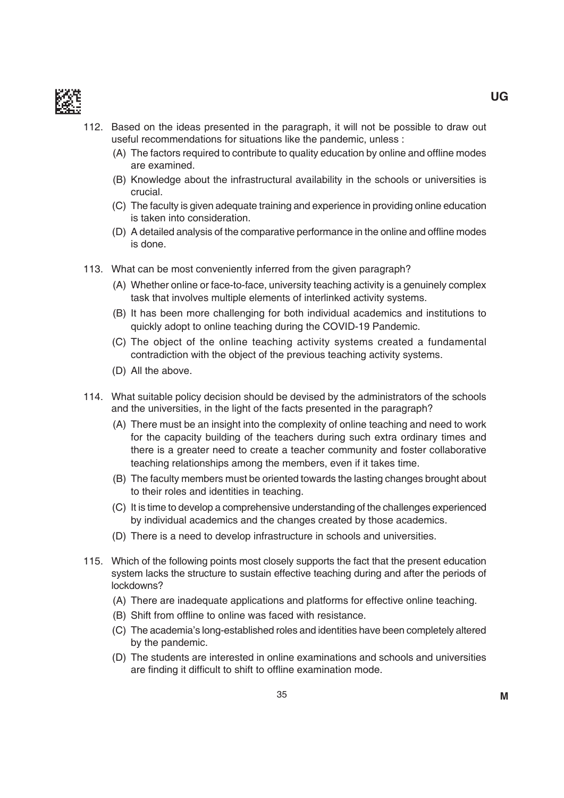

- 112. based on the ideas presented in the paragraph, it will not be possible to draw out useful recommendations for situations like the pandemic, unless :
	- (A) The factors required to contribute to quality education by online and offline modes are examined.
	- (B) Knowledge about the infrastructural availability in the schools or universities is crucial.
	- (C) the faculty is given adequate training and experience in providing online education is taken into consideration.
	- (D) A detailed analysis of the comparative performance in the online and offline modes is done.
- 113. What can be most conveniently inferred from the given paragraph?
	- (A) Whether online or face-to-face, university teaching activity is a genuinely complex task that involves multiple elements of interlinked activity systems.
	- (b) it has been more challenging for both individual academics and institutions to quickly adopt to online teaching during the COVID-19 Pandemic.
	- (C) The object of the online teaching activity systems created a fundamental contradiction with the object of the previous teaching activity systems.
	- (D) All the above.
- 114. What suitable policy decision should be devised by the administrators of the schools and the universities, in the light of the facts presented in the paragraph?
	- (A) There must be an insight into the complexity of online teaching and need to work for the capacity building of the teachers during such extra ordinary times and there is a greater need to create a teacher community and foster collaborative teaching relationships among the members, even if it takes time.
	- (B) The faculty members must be oriented towards the lasting changes brought about to their roles and identities in teaching.
	- (C) it is time to develop a comprehensive understanding of the challenges experienced by individual academics and the changes created by those academics.
	- (D) There is a need to develop infrastructure in schools and universities.
- 115. Which of the following points most closely supports the fact that the present education system lacks the structure to sustain effective teaching during and after the periods of lockdowns?
	- (A) There are inadequate applications and platforms for effective online teaching.
	- (B) Shift from offline to online was faced with resistance.
	- (C) the academia's long-established roles and identities have been completely altered by the pandemic.
	- (D) The students are interested in online examinations and schools and universities are finding it difficult to shift to offline examination mode.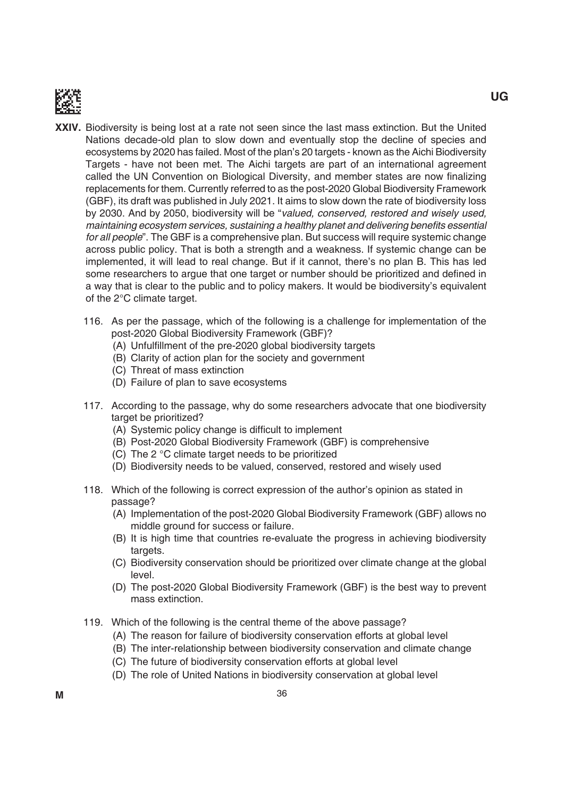

- **XXIV.** Biodiversity is being lost at a rate not seen since the last mass extinction. But the United Nations decade-old plan to slow down and eventually stop the decline of species and ecosystems by 2020 has failed. Most of the plan's 20 targets - known as the Aichi Biodiversity Targets - have not been met. The Aichi targets are part of an international agreement called the UN Convention on Biological Diversity, and member states are now finalizing replacements for them. Currently referred to as the post-2020 global biodiversity Framework (gbF), its draft was published in July 2021. it aims to slow down the rate of biodiversity loss by 2030. And by 2050, biodiversity will be "valued, conserved, restored and wisely used, maintaining ecosystem services, sustaining a healthy planet and delivering benefits essential for all people". The GBF is a comprehensive plan. But success will require systemic change across public policy. that is both a strength and a weakness. if systemic change can be implemented, it will lead to real change. But if it cannot, there's no plan B. This has led some researchers to argue that one target or number should be prioritized and defined in a way that is clear to the public and to policy makers. it would be biodiversity's equivalent of the 2°C climate target.
	- 116. As per the passage, which of the following is a challenge for implementation of the post-2020 Global Biodiversity Framework (GBF)?
		- (A) Unfulfillment of the pre-2020 global biodiversity targets
		- (b) Clarity of action plan for the society and government
		- (C) Threat of mass extinction
		- (D) Failure of plan to save ecosystems
	- 117. According to the passage, why do some researchers advocate that one biodiversity target be prioritized?
		- (A) Systemic policy change is difficult to implement
		- (B) Post-2020 Global Biodiversity Framework (GBF) is comprehensive
		- (C) The 2  $\degree$ C climate target needs to be prioritized
		- (D) Biodiversity needs to be valued, conserved, restored and wisely used
	- 118. Which of the following is correct expression of the author's opinion as stated in passage?
		- (A) implementation of the post-2020 global biodiversity Framework (gbF) allows no middle ground for success or failure.
		- (b) it is high time that countries re-evaluate the progress in achieving biodiversity targets.
		- (C) biodiversity conservation should be prioritized over climate change at the global level.
		- (D) The post-2020 Global Biodiversity Framework (GBF) is the best way to prevent mass extinction.
	- 119. Which of the following is the central theme of the above passage?
		- (A) The reason for failure of biodiversity conservation efforts at global level
		- (B) The inter-relationship between biodiversity conservation and climate change
		- (C) The future of biodiversity conservation efforts at global level
		- (D) The role of United Nations in biodiversity conservation at global level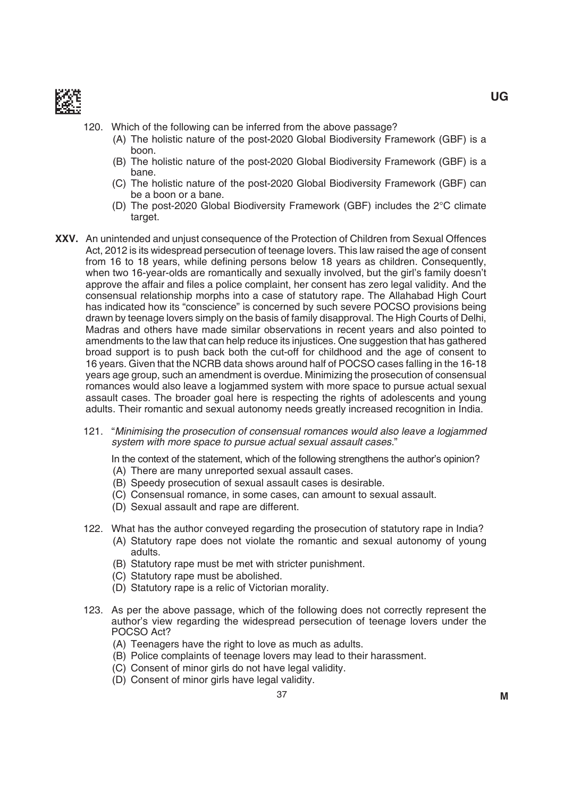

- 120. Which of the following can be inferred from the above passage?
	- (A) The holistic nature of the post-2020 Global Biodiversity Framework (GBF) is a boon.
	- (B) The holistic nature of the post-2020 Global Biodiversity Framework (GBF) is a bane.
	- (C) The holistic nature of the post-2020 Global Biodiversity Framework (GBF) can be a boon or a bane.
	- (D) The post-2020 Global Biodiversity Framework (GBF) includes the  $2^{\circ}$ C climate target.
- **XXV.** An unintended and unjust consequence of the Protection of Children from Sexual Offences Act, 2012 is its widespread persecution of teenage lovers. This law raised the age of consent from 16 to 18 years, while defining persons below 18 years as children. Consequently, when two 16-year-olds are romantically and sexually involved, but the girl's family doesn't approve the affair and files a police complaint, her consent has zero legal validity. And the consensual relationship morphs into a case of statutory rape. the Allahabad High Court has indicated how its "conscience" is concerned by such severe POCSO provisions being drawn by teenage lovers simply on the basis of family disapproval. The High Courts of Delhi, madras and others have made similar observations in recent years and also pointed to amendments to the law that can help reduce its injustices. One suggestion that has gathered broad support is to push back both the cut-off for childhood and the age of consent to 16 years. Given that the NCRB data shows around half of POCSO cases falling in the 16-18 years age group, such an amendment is overdue. minimizing the prosecution of consensual romances would also leave a logjammed system with more space to pursue actual sexual assault cases. the broader goal here is respecting the rights of adolescents and young adults. Their romantic and sexual autonomy needs greatly increased recognition in India.
	- 121. "Minimising the prosecution of consensual romances would also leave a logjammed system with more space to pursue actual sexual assault cases."

In the context of the statement, which of the following strengthens the author's opinion?

- (A) There are many unreported sexual assault cases.
- (b) Speedy prosecution of sexual assault cases is desirable.
- (C) Consensual romance, in some cases, can amount to sexual assault.
- (D) Sexual assault and rape are different.
- 122. What has the author conveyed regarding the prosecution of statutory rape in india?
	- (A) Statutory rape does not violate the romantic and sexual autonomy of young adults.
		- (b) Statutory rape must be met with stricter punishment.
		- (C) Statutory rape must be abolished.
	- (D) Statutory rape is a relic of Victorian morality.
- 123. As per the above passage, which of the following does not correctly represent the author's view regarding the widespread persecution of teenage lovers under the POCSO Act?
	- (A) Teenagers have the right to love as much as adults.
	- (b) Police complaints of teenage lovers may lead to their harassment.
	- (C) Consent of minor girls do not have legal validity.
	- (D) Consent of minor girls have legal validity.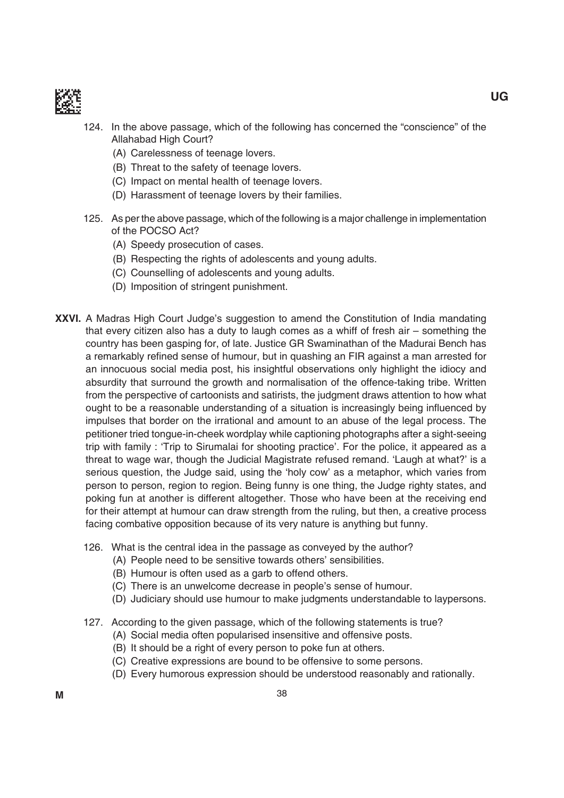

- 124. in the above passage, which of the following has concerned the "conscience" of the Allahabad High Court?
	- (A) Carelessness of teenage lovers.
	- (B) Threat to the safety of teenage lovers.
	- (C) impact on mental health of teenage lovers.
	- (D) Harassment of teenage lovers by their families.
- 125. As per the above passage, which of the following is a major challenge in implementation of the POCSO Act?
	- (A) Speedy prosecution of cases.
	- (B) Respecting the rights of adolescents and young adults.
	- (C) Counselling of adolescents and young adults.
	- (D) Imposition of stringent punishment.
- **XXVI.** A Madras High Court Judge's suggestion to amend the Constitution of India mandating that every citizen also has a duty to laugh comes as a whiff of fresh air – something the country has been gasping for, of late. Justice GR Swaminathan of the Madurai Bench has a remarkably refined sense of humour, but in quashing an FIR against a man arrested for an innocuous social media post, his insightful observations only highlight the idiocy and absurdity that surround the growth and normalisation of the offence-taking tribe. Written from the perspective of cartoonists and satirists, the judgment draws attention to how what ought to be a reasonable understanding of a situation is increasingly being influenced by impulses that border on the irrational and amount to an abuse of the legal process. the petitioner tried tongue-in-cheek wordplay while captioning photographs after a sight-seeing trip with family : 'Trip to Sirumalai for shooting practice'. For the police, it appeared as a threat to wage war, though the Judicial magistrate refused remand. 'Laugh at what?' is a serious question, the Judge said, using the 'holy cow' as a metaphor, which varies from person to person, region to region. Being funny is one thing, the Judge righty states, and poking fun at another is different altogether. those who have been at the receiving end for their attempt at humour can draw strength from the ruling, but then, a creative process facing combative opposition because of its very nature is anything but funny.
	- 126. What is the central idea in the passage as conveyed by the author?
		- (A) People need to be sensitive towards others' sensibilities.
		- (b) Humour is often used as a garb to offend others.
		- (C) There is an unwelcome decrease in people's sense of humour.
		- (D) Judiciary should use humour to make judgments understandable to laypersons.
	- 127. According to the given passage, which of the following statements is true?
		- (A) Social media often popularised insensitive and offensive posts.
		- (B) It should be a right of every person to poke fun at others.
		- (C) Creative expressions are bound to be offensive to some persons.
		- (D) Every humorous expression should be understood reasonably and rationally.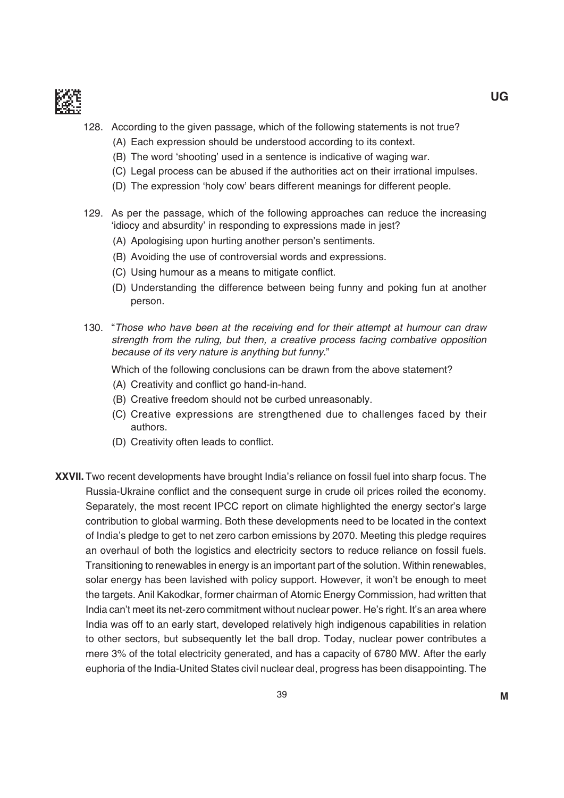

- 128. According to the given passage, which of the following statements is not true?
	- (A) Each expression should be understood according to its context.
	- (B) The word 'shooting' used in a sentence is indicative of waging war.
	- (C) Legal process can be abused if the authorities act on their irrational impulses.
	- (D) The expression 'holy cow' bears different meanings for different people.
- 129. As per the passage, which of the following approaches can reduce the increasing 'idiocy and absurdity' in responding to expressions made in jest?
	- (A) Apologising upon hurting another person's sentiments.
	- (b) Avoiding the use of controversial words and expressions.
	- (C) Using humour as a means to mitigate conflict.
	- (D) Understanding the difference between being funny and poking fun at another person.
- 130. "Those who have been at the receiving end for their attempt at humour can draw strength from the ruling, but then, a creative process facing combative opposition because of its very nature is anything but funny."

Which of the following conclusions can be drawn from the above statement?

- (A) Creativity and conflict go hand-in-hand.
- (b) Creative freedom should not be curbed unreasonably.
- (C) Creative expressions are strengthened due to challenges faced by their authors.
- (D) Creativity often leads to conflict.
- **XXVII.** Two recent developments have brought India's reliance on fossil fuel into sharp focus. The Russia-Ukraine conflict and the consequent surge in crude oil prices roiled the economy. Separately, the most recent iPCC report on climate highlighted the energy sector's large contribution to global warming. both these developments need to be located in the context of india's pledge to get to net zero carbon emissions by 2070. meeting this pledge requires an overhaul of both the logistics and electricity sectors to reduce reliance on fossil fuels. Transitioning to renewables in energy is an important part of the solution. Within renewables, solar energy has been lavished with policy support. However, it won't be enough to meet the targets. Anil Kakodkar, former chairman of Atomic Energy Commission, had written that India can't meet its net-zero commitment without nuclear power. He's right. It's an area where india was off to an early start, developed relatively high indigenous capabilities in relation to other sectors, but subsequently let the ball drop. Today, nuclear power contributes a mere 3% of the total electricity generated, and has a capacity of 6780 mW. After the early euphoria of the India-United States civil nuclear deal, progress has been disappointing. The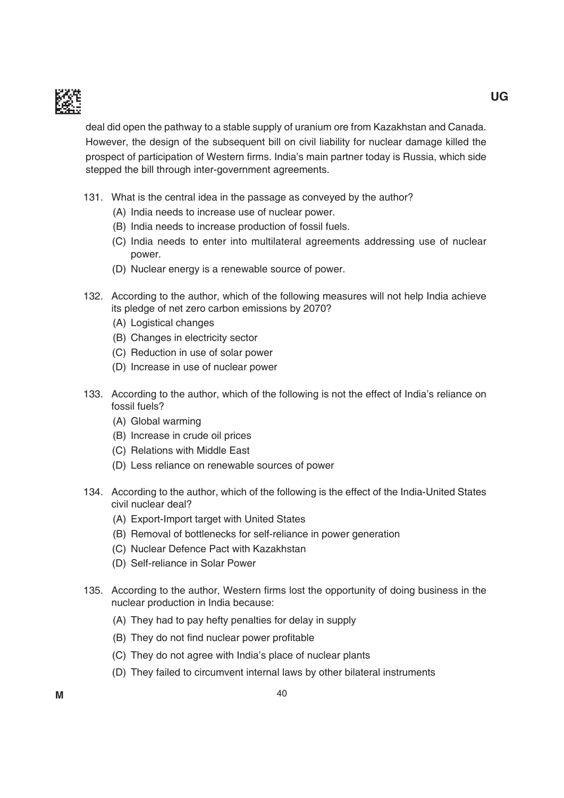

deal did open the pathway to a stable supply of uranium ore from Kazakhstan and Canada. However, the design of the subsequent bill on civil liability for nuclear damage killed the prospect of participation of Western firms. India's main partner today is Russia, which side stepped the bill through inter-government agreements.

- 131. What is the central idea in the passage as conveyed by the author?
	- (A) india needs to increase use of nuclear power.
	- (b) india needs to increase production of fossil fuels.
	- (C) india needs to enter into multilateral agreements addressing use of nuclear power.
	- (D) Nuclear energy is a renewable source of power.
- 132. According to the author, which of the following measures will not help india achieve its pledge of net zero carbon emissions by 2070?
	- (A) Logistical changes
	- (b) Changes in electricity sector
	- (C) Reduction in use of solar power
	- (D) Increase in use of nuclear power
- 133. According to the author, which of the following is not the effect of india's reliance on fossil fuels?
	- (A) Global warming
	- (b) increase in crude oil prices
	- (C) Relations with Middle East
	- (D) Less reliance on renewable sources of power
- 134. According to the author, which of the following is the effect of the India-United States civil nuclear deal?
	- (A) Export-Import target with United States
	- (B) Removal of bottlenecks for self-reliance in power generation
	- (C) Nuclear Defence Pact with Kazakhstan
	- (D) Self-reliance in Solar Power
- 135. According to the author, Western firms lost the opportunity of doing business in the nuclear production in India because:
	- (A) They had to pay hefty penalties for delay in supply
	- (B) They do not find nuclear power profitable
	- (C) They do not agree with India's place of nuclear plants
	- (D) They failed to circumvent internal laws by other bilateral instruments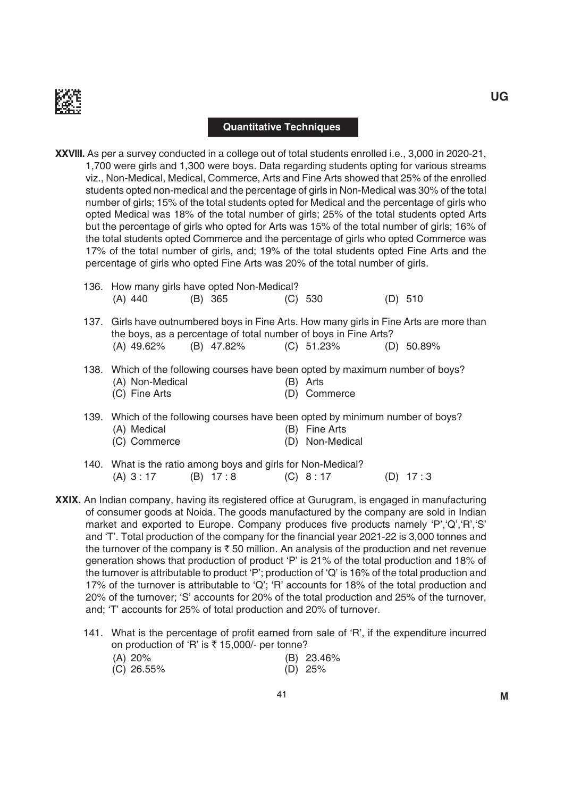

#### **Quantitative Techniques**

- **XXVIII.** As per a survey conducted in a college out of total students enrolled i.e., 3,000 in 2020-21, 1,700 were girls and 1,300 were boys. Data regarding students opting for various streams viz., Non-medical, medical, Commerce, Arts and Fine Arts showed that 25% of the enrolled students opted non-medical and the percentage of girls in Non-medical was 30% of the total number of girls; 15% of the total students opted for medical and the percentage of girls who opted medical was 18% of the total number of girls; 25% of the total students opted Arts but the percentage of girls who opted for Arts was 15% of the total number of girls; 16% of the total students opted Commerce and the percentage of girls who opted Commerce was 17% of the total number of girls, and; 19% of the total students opted Fine Arts and the percentage of girls who opted Fine Arts was 20% of the total number of girls.
	- 136. How many girls have opted Non-Medical? (A) 440 (B) 365 (C) 530 (D) 510
	- 137. Girls have outnumbered boys in Fine Arts. How many girls in Fine Arts are more than the boys, as a percentage of total number of boys in Fine Arts? (A) 49.62% (B) 47.82% (C) 51.23% (D) 50.89%
	- 138. Which of the following courses have been opted by maximum number of boys? (A) Non-Medical (B) Arts (C) Fine Arts (D) Commerce
	- 139. Which of the following courses have been opted by minimum number of boys? (A) Medical (B) Fine Arts (C) Commerce (D) Non-Medical
	- 140. What is the ratio among boys and girls for Non-Medical? (A) 3:17 (B) 17:8 (C) 8:17 (D) 17:3
- **XXIX.** An Indian company, having its registered office at Gurugram, is engaged in manufacturing of consumer goods at Noida. The goods manufactured by the company are sold in Indian market and exported to Europe. Company produces five products namely 'P','Q','R','S' and 'T'. Total production of the company for the financial year 2021-22 is 3,000 tonnes and the turnover of the company is  $\bar{\tau}$  50 million. An analysis of the production and net revenue generation shows that production of product 'P' is 21% of the total production and 18% of the turnover is attributable to product 'P'; production of 'Q' is 16% of the total production and 17% of the turnover is attributable to 'Q'; 'R' accounts for 18% of the total production and 20% of the turnover; 'S' accounts for 20% of the total production and 25% of the turnover, and; 'T' accounts for 25% of total production and 20% of turnover.
	- 141. What is the percentage of profit earned from sale of 'R', if the expenditure incurred on production of 'R' is  $\bar{\tau}$  15,000/- per tonne? (A) 20% (b) 23.46%
		- (C) 26.55% (d) 25%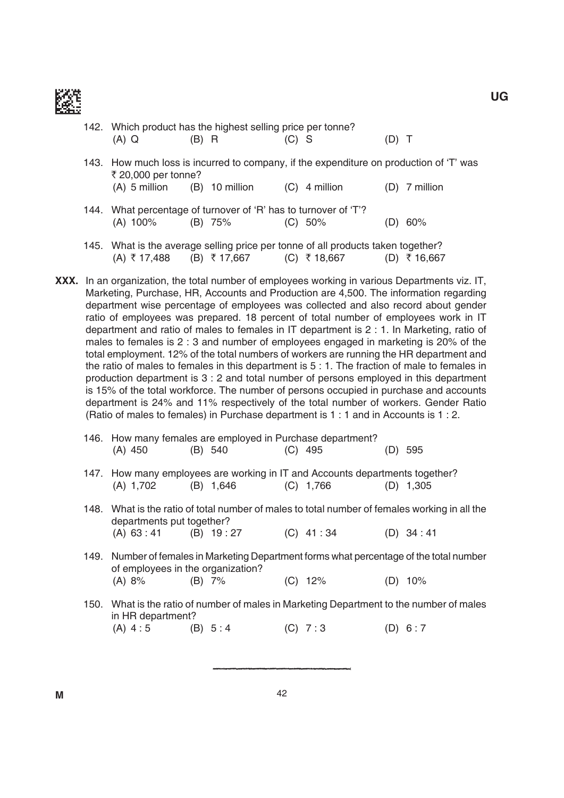

| 142. Which product has the highest selling price per tonne?                   |                  |         |                                                                                                  |       |                 |
|-------------------------------------------------------------------------------|------------------|---------|--------------------------------------------------------------------------------------------------|-------|-----------------|
| $(A)$ Q                                                                       | (B) R            | $(C)$ S |                                                                                                  | (D) T |                 |
|                                                                               |                  |         | 143. How much loss is incurred to company, if the expenditure on production of 'T' was           |       |                 |
| ₹ 20,000 per tonne?<br>$(A)$ 5 million                                        | $(B)$ 10 million |         | $(C)$ 4 million                                                                                  |       | $(D)$ 7 million |
|                                                                               |                  |         |                                                                                                  |       |                 |
| 144. What percentage of turnover of 'R' has to turnover of 'T'?<br>$(A)$ 100% | $(B)$ 75%        |         | $(C) 50\%$                                                                                       |       | (D) 60%         |
|                                                                               |                  |         |                                                                                                  |       |                 |
| (A) ₹17,488                                                                   | (B) ₹ 17,667     |         | 145. What is the average selling price per tonne of all products taken together?<br>(C) ₹ 18,667 |       | ₹ 16,667        |

**XXX.** In an organization, the total number of employees working in various Departments viz. IT, Marketing, Purchase, HR, Accounts and Production are 4,500. The information regarding department wise percentage of employees was collected and also record about gender ratio of employees was prepared. 18 percent of total number of employees work in IT department and ratio of males to females in  $IT$  department is  $2: 1$ . In Marketing, ratio of males to females is 2 : 3 and number of employees engaged in marketing is 20% of the total employment. 12% of the total numbers of workers are running the HR department and the ratio of males to females in this department is  $5:1$ . The fraction of male to females in production department is 3 : 2 and total number of persons employed in this department is 15% of the total workforce. the number of persons occupied in purchase and accounts department is 24% and 11% respectively of the total number of workers. Gender Ratio (Ratio of males to females) in Purchase department is  $1:1$  and in Accounts is  $1:2$ .

| (A) 450                                                                                                       | 146. How many females are employed in Purchase department?<br>(B) 540                                                         |  | $(C)$ 495   |  | $(D)$ 595   |
|---------------------------------------------------------------------------------------------------------------|-------------------------------------------------------------------------------------------------------------------------------|--|-------------|--|-------------|
| (A) 1,702                                                                                                     | 147. How many employees are working in IT and Accounts departments together?<br>$(B)$ 1,646                                   |  | $(C)$ 1,766 |  | $(D)$ 1,305 |
|                                                                                                               | 148. What is the ratio of total number of males to total number of females working in all the                                 |  |             |  |             |
| departments put together?                                                                                     |                                                                                                                               |  |             |  |             |
|                                                                                                               | $(A) 63:41$ $(B) 19:27$                                                                                                       |  | $(C)$ 41:34 |  | $(D)$ 34:41 |
|                                                                                                               | 149. Number of females in Marketing Department forms what percentage of the total number<br>of employees in the organization? |  |             |  |             |
| (A) 8%                                                                                                        | $(B)$ 7%                                                                                                                      |  | $(C)$ 12%   |  | $(D)$ 10%   |
| 150. What is the ratio of number of males in Marketing Department to the number of males<br>in HR department? |                                                                                                                               |  |             |  |             |
| $(A) 4:5$ $(B) 5:4$                                                                                           |                                                                                                                               |  | 7:3         |  | 6:7         |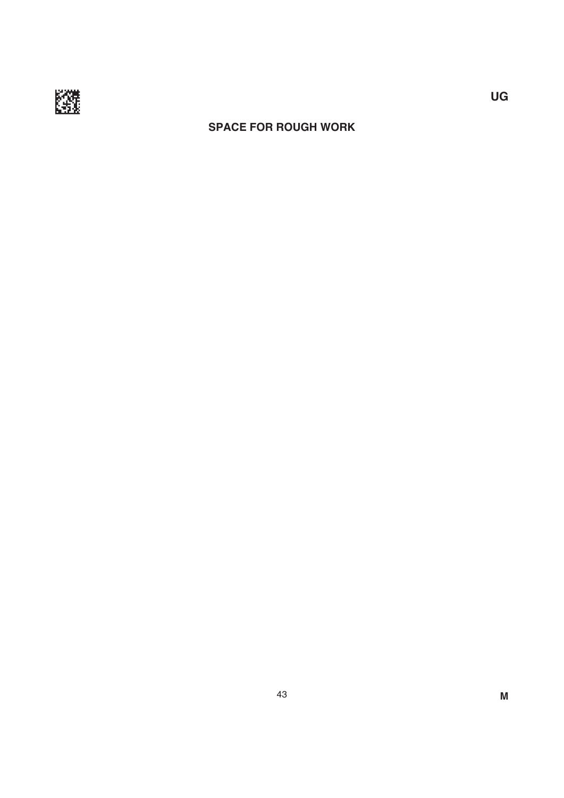

## **SPACE FOR ROUGH WORK**